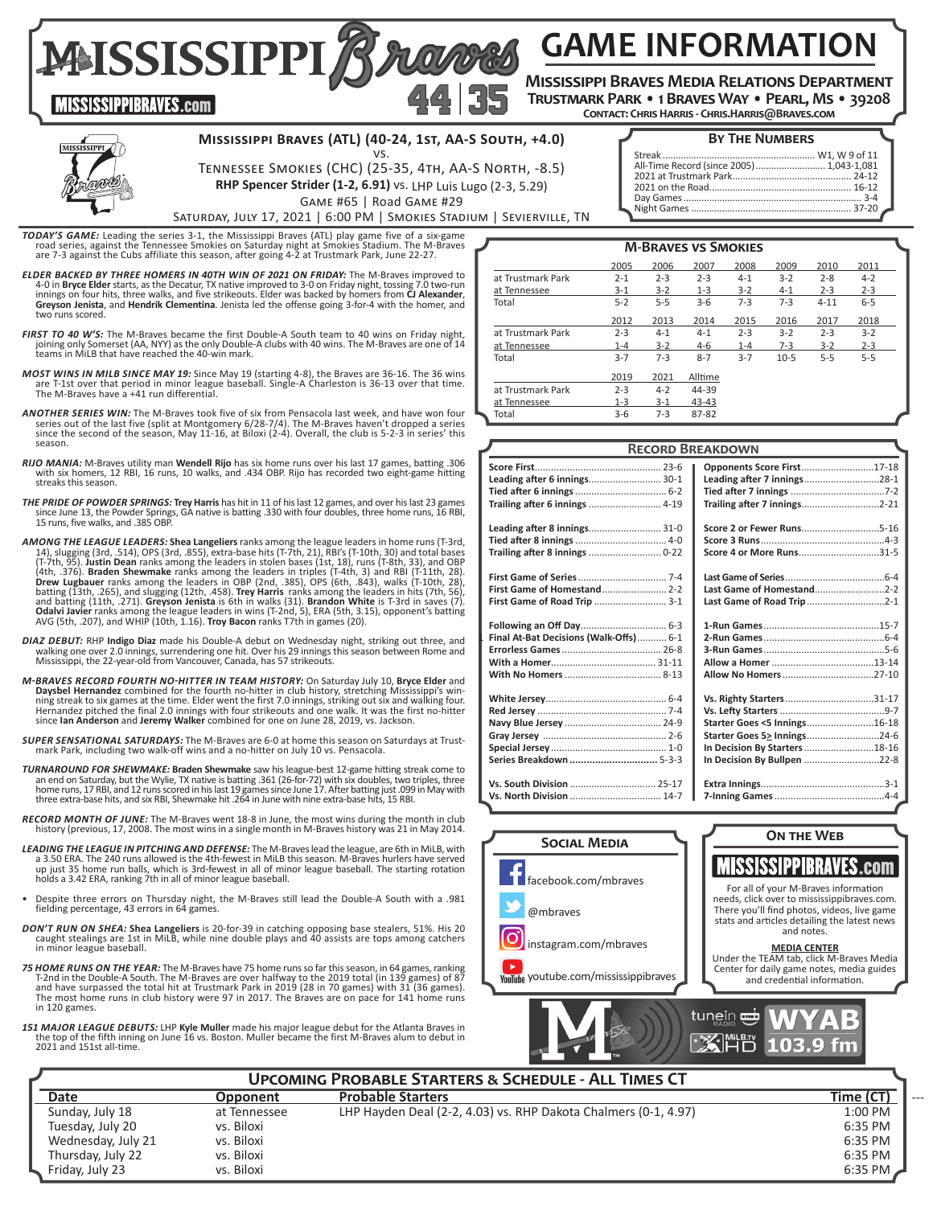**GAME INFORMATION**

**Mississippi Braves Media Relations Department Trustmark Park • 1 Braves Way • Pearl, Ms • 39208**

**Contact: Chris Harris - Chris.Harris@Braves.com**



**MISSISSIPPIBRAVES.com** 

### **Mississippi Braves (ATL) (40-24, 1st, AA-S South, +4.0)**

vs. Tennessee Smokies (CHC) (25-35, 4th, AA-S North, -8.5) **RHP Spencer Strider (1-2, 6.91)** vs. LHP Luis Lugo (2-3, 5.29)

### **BY THE NUMBERS**

| ----------------                          |  |
|-------------------------------------------|--|
|                                           |  |
| All-Time Record (since 2005)  1,043-1,081 |  |
|                                           |  |
|                                           |  |
|                                           |  |
|                                           |  |
|                                           |  |

Game #65 | Road Game #29 Saturday, July 17, 2021 | 6:00 PM | Smokies Stadium | Sevierville, TN

TODAY'S GAME: Leading the series 3-1, the Mississippi Braves (ATL) play game five of a six-game road series, against the Tennessee Smokies on Saturday night at Smokies Stadium. The M-Braves are 7-3 against the Cubs affilia

**MAISSISSIPPIBA** 

- *ELDER BACKED BY THREE HOMERS IN 40TH WIN OF 2021 ON FRIDAY:* The M-Braves improved to 4-0 in **Bryce Elder** starts, as the Decatur, TX native improved to 3-0 on Friday night, tossing 7.0 two-run innings on four hits, three walks, and five strikeouts. Elder was backed by homers from **CJ Alexander**, innings on four hits, three walks, and five strikeouts. Elder was backed by homers from **CJ Alexander**, **Greyson Jenista**, and **Hendrik Clementina**. Jenista led the offense going 3-for-4 with the homer, and two runs scored.
- *FIRST TO 40 W'S:* The M-Braves became the first Double-A South team to 40 wins on Friday night, joining only Somerset (AA, NYY) as the only Double-A clubs with 40 wins. The M-Braves are one of 14 teams in MiLB that have reached the 40-win mark.
- *MOST WINS IN MILB SINCE MAY 19:* Since May 19 (starting 4-8), the Braves are 36-16. The 36 wins are T-1st over that period in minor league baseball. Single-A Charleston is 36-13 over that time. The M-Braves have a +41 run differential.
- *ANOTHER SERIES WIN:* The M-Braves took five of six from Pensacola last week, and have won four series out of the last five (split at Montgomery 6/28-7/4). The M-Braves haven't dropped a series since the second of the season, May 11-16, at Biloxi (2-4). Overall, the club is 5-2-3 in series' this season.
- *RIJO MANIA:* M-Braves utility man **Wendell Rijo** has six home runs over his last 17 games, batting .306 with six homers, 12 RBI, 16 runs, 10 walks, and .434 OBP. Rijo has recorded two eight-game hitting streaks this season.
- *THE PRIDE OF POWDER SPRINGS:* **Trey Harris** has hit in 11 of his last 12 games, and over his last 23 games since June 13, the Powder Springs, GA native is batting .330 with four doubles, three home runs, 16 RBI, 15 runs, five walks, and .385 OBP.
- **AMONG THE LEAGUE LEADERS: Shea Langeliers** ranks among the league leaders in home runs (T-3rd, 14), slugging (3rd, 514), OPS (3rd, 355), extra-base hits (T-7th, 95). Justin Dean ranks among the leaders in stolen bases (1
- DIAZ DEBUT: RHP Indigo Diaz made his Double-A debut on Wednesday night, striking out three, and<br>Walking one over 2.0 innings, surrendering one walking one over and the matings this season between Rome and<br>Mississippi, the
- *M-BRAVES RECORD FOURTH NO-HITTER IN TEAM HISTORY:* On Saturday July 10, **Bryce Elder** and **Daysbel Hernandez** combined for the fourth no-hitter in club history, stretching Mississippi's win-<br>ning streak to six games at the time. Elder went the first 7.0 innings, striking out six and walking four.<br>Hernandez pitc since **Ian Anderson** and **Jeremy Walker** combined for one on June 28, 2019, vs. Jackson.
- *SUPER SENSATIONAL SATURDAYS:* The M-Braves are 6-0 at home this season on Saturdays at Trust- mark Park, including two walk-off wins and a no-hitter on July 10 vs. Pensacola.
- *TURNAROUND FOR SHEWMAKE:* **Braden Shewmake** saw his league-best 12-game hitting streak come to an end on Saturday, but the Wylie, TX native is batting .361 (26-for-72) with six doubles, two triples, three home runs, 17 RBI, and 12 runs scored in his last 19 games since June 17. After batting just .099 in May with three extra-base hits, and six RBI, Shewmake hit .264 in June with nine extra-base hits, 15 RBI.
- *RECORD MONTH OF JUNE:* The M-Braves went 18-8 in June, the most wins during the month in club history (previous, 17, 2008. The most wins in a single month in M-Braves history was 21 in May 2014.
- *LEADING THE LEAGUE IN PITCHING AND DEFENSE:* The M-Braves lead the league, are 6th in MiLB, with a 3.50 ERA. The 240 runs allowed is the 4th-fewest in MiLB this season. M-Braves hurlers have served up just 35 home run balls, which is 3rd-fewest in all of minor league baseball. The starting rotation holds a 3.42 ERA, ranking 7th in all of minor league baseball.
- Despite three errors on Thursday night, the M-Braves still lead the Double-A South with a .981 fielding percentage, 43 errors in 64 games.
- *DON'T RUN ON SHEA:* **Shea Langeliers** is 20-for-39 in catching opposing base stealers, 51%. His 20 caught stealings are 1st in MiLB, while nine double plays and 40 assists are tops among catchers in minor league baseball.
- *75 HOME RUNS ON THE YEAR:* The M-Braves have 75 home runs so far this season, in 64 games, ranking T-2nd in the Double-A South. The M-Braves are over halfway to the 2019 total (in 139 games) of 87 and have surpassed the total hit at Trustmark Park in 2019 (28 in 70 games) with 31 (36 games). The most home runs in club history were 97 in 2017. The Braves are on pace for 141 home runs in 120 games.
- *151 MAJOR LEAGUE DEBUTS:* LHP **Kyle Muller** made his major league debut for the Atlanta Braves in the top of the fifth inning on June 16 vs. Boston. Muller became the first M-Braves alum to debut in 2021 and 151st all-time.

| <b>M-BRAVES VS SMOKIES</b> |         |         |           |         |         |          |         |  |
|----------------------------|---------|---------|-----------|---------|---------|----------|---------|--|
|                            | 2005    | 2006    | 2007      | 2008    | 2009    | 2010     | 2011    |  |
| at Trustmark Park          | $2 - 1$ | $2 - 3$ | $2 - 3$   | $4 - 1$ | $3 - 2$ | $2 - 8$  | $4 - 2$ |  |
| at Tennessee               | $3 - 1$ | $3 - 2$ | $1 - 3$   | $3 - 2$ | $4 - 1$ | $2 - 3$  | $2 - 3$ |  |
| Total                      | $5 - 2$ | $5 - 5$ | $3-6$     | $7 - 3$ | $7 - 3$ | $4 - 11$ | $6 - 5$ |  |
|                            | 2012    | 2013    | 2014      | 2015    | 2016    | 2017     | 2018    |  |
| at Trustmark Park          | $2 - 3$ | $4 - 1$ | $4 - 1$   | $2 - 3$ | $3-2$   | $2 - 3$  | $3 - 2$ |  |
| at Tennessee               | $1 - 4$ | $3-2$   | 4-6       | $1 - 4$ | $7-3$   | $3-2$    | $2 - 3$ |  |
| Total                      | $3 - 7$ | $7 - 3$ | $8 - 7$   | $3 - 7$ | $10-5$  | $5 - 5$  | $5 - 5$ |  |
|                            | 2019    | 2021    | Alltime   |         |         |          |         |  |
| at Trustmark Park          | $2 - 3$ | $4 - 2$ | 44-39     |         |         |          |         |  |
| at Tennessee               | $1 - 3$ | $3-1$   | $43 - 43$ |         |         |          |         |  |
| Total                      | $3-6$   | $7-3$   | 87-82     |         |         |          |         |  |

|                                        | <b>RECORD BREAKDOWN</b>       |  |
|----------------------------------------|-------------------------------|--|
|                                        | Opponents Score First17-18    |  |
| Leading after 6 innings 30-1           | Leading after 7 innings28-1   |  |
|                                        |                               |  |
|                                        |                               |  |
|                                        |                               |  |
|                                        |                               |  |
| Trailing after 8 innings  0-22         | Score 4 or More Runs31-5      |  |
|                                        |                               |  |
|                                        | Last Game of Homestand2-2     |  |
| First Game of Road Trip  3-1           | Last Game of Road Trip 2-1    |  |
|                                        |                               |  |
| Final At-Bat Decisions (Walk-Offs) 6-1 |                               |  |
|                                        |                               |  |
|                                        |                               |  |
|                                        |                               |  |
|                                        | Vs. Righty Starters31-17      |  |
|                                        |                               |  |
|                                        | Starter Goes <5 Innings16-18  |  |
|                                        | Starter Goes 5> Innings24-6   |  |
|                                        | In Decision By Starters 18-16 |  |
| Series Breakdown  5-3-3                | In Decision By Bullpen 22-8   |  |
| Vs. South Division  25-17              |                               |  |
|                                        |                               |  |
|                                        |                               |  |



|                    |              | <b>UPCOMING PROBABLE STARTERS &amp; SCHEDULE - ALL TIMES CT</b> |                   |
|--------------------|--------------|-----------------------------------------------------------------|-------------------|
| <b>Date</b>        | Opponent     | <b>Probable Starters</b>                                        | Time (CT)<br>$--$ |
| Sunday, July 18    | at Tennessee | LHP Hayden Deal (2-2, 4.03) vs. RHP Dakota Chalmers (0-1, 4.97) | 1:00 PM           |
| Tuesday, July 20   | vs. Biloxi   |                                                                 | 6:35 PM           |
| Wednesday, July 21 | vs. Biloxi   |                                                                 | 6:35 PM           |
| Thursday, July 22  | vs. Biloxi   |                                                                 | 6:35 PM           |
| Friday, July 23    | vs. Biloxi   |                                                                 | $6:35$ PM         |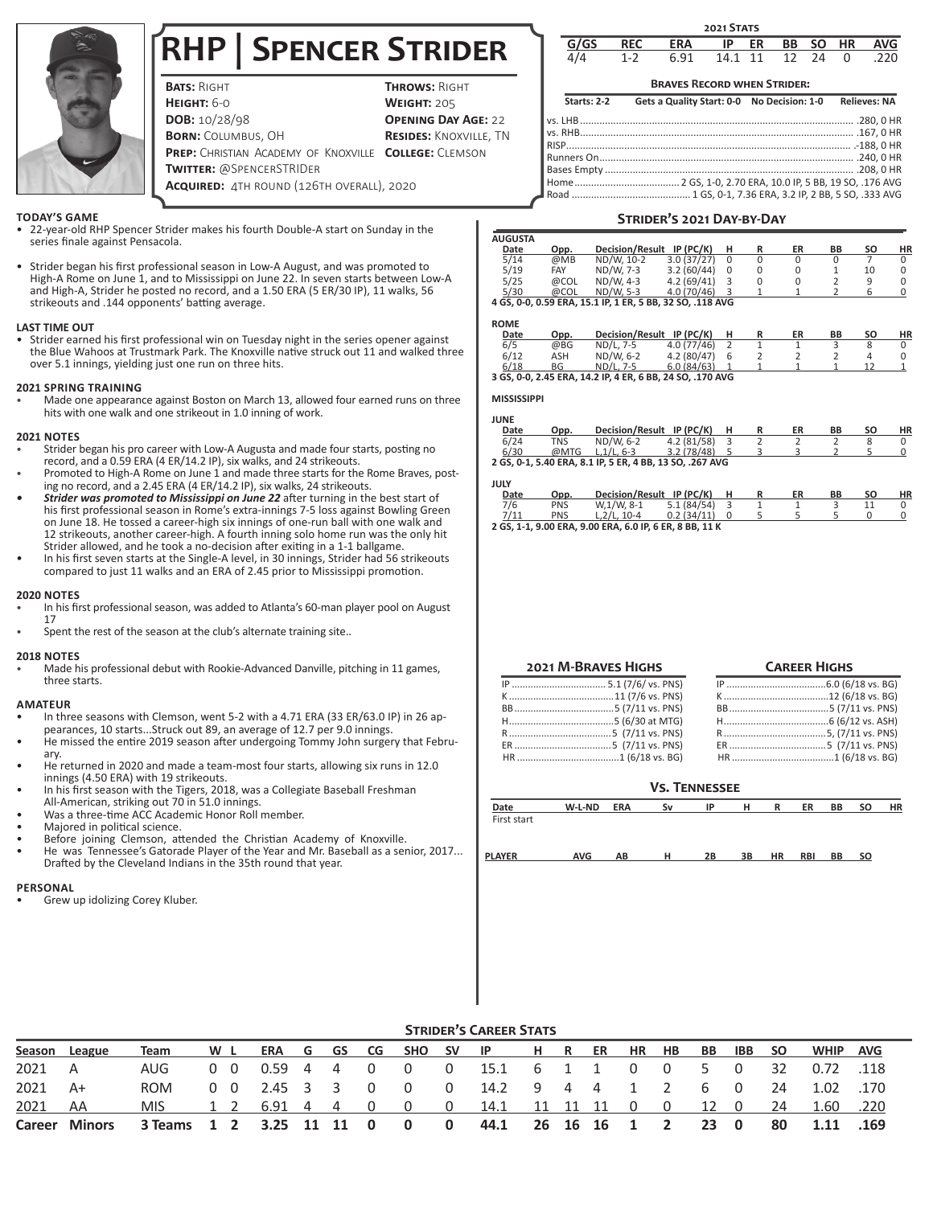# **RHP | Spencer Strider**

| <b>BATS: RIGHT</b>                                    | <b>THROWS: RIGHT</b>          |
|-------------------------------------------------------|-------------------------------|
| <b>Неіgнт:</b> 6-0                                    | <b>WEIGHT: 205</b>            |
| DOB: 10/28/98                                         | <b>OPENING DAY AGE: 22</b>    |
| <b>BORN:</b> COLUMBUS. OH                             | <b>RESIDES: KNOXVILLE, TN</b> |
| PREP: CHRISTIAN ACADEMY OF KNOXVILLE COLLEGE: CLEMSON |                               |
| <b>TWITTER: @SPENCERSTRIDER</b>                       |                               |
| <b>Acquired:</b> 4TH ROUND (126TH OVERALL), 2020      |                               |
|                                                       |                               |

### **TODAY'S GAME**

- 22-year-old RHP Spencer Strider makes his fourth Double-A start on Sunday in the series finale against Pensacola.
- Strider began his first professional season in Low-A August, and was promoted to High-A Rome on June 1, and to Mississippi on June 22. In seven starts between Low-A and High-A, Strider he posted no record, and a 1.50 ERA (5 ER/30 IP), 11 walks, 56 strikeouts and .144 opponents' batting average.

### **LAST TIME OUT**

• Strider earned his first professional win on Tuesday night in the series opener against the Blue Wahoos at Trustmark Park. The Knoxville native struck out 11 and walked three over 5.1 innings, yielding just one run on three hits.

### **2021 SPRING TRAINING**

• Made one appearance against Boston on March 13, allowed four earned runs on three hits with one walk and one strikeout in 1.0 inning of work.

### **2021 NOTES**

- Strider began his pro career with Low-A Augusta and made four starts, posting no record, and a 0.59 ERA (4 ER/14.2 IP), six walks, and 24 strikeouts.
- Promoted to High-A Rome on June 1 and made three starts for the Rome Braves, posting no record, and a 2.45 ERA (4 ER/14.2 IP), six walks, 24 strikeouts.
- *• Strider was promoted to Mississippi on June 22* after turning in the best start of his first professional season in Rome's extra-innings 7-5 loss against Bowling Green on June 18. He tossed a career-high six innings of one-run ball with one walk and 12 strikeouts, another career-high. A fourth inning solo home run was the only hit Strider allowed, and he took a no-decision after exiting in a 1-1 ballgame.
- In his first seven starts at the Single-A level, in 30 innings, Strider had 56 strikeouts compared to just 11 walks and an ERA of 2.45 prior to Mississippi promotion.

#### **2020 NOTES**

- In his first professional season, was added to Atlanta's 60-man player pool on August 17
- Spent the rest of the season at the club's alternate training site..

### **2018 NOTES**

• Made his professional debut with Rookie-Advanced Danville, pitching in 11 games, three starts.

### **AMATEUR**

- In three seasons with Clemson, went 5-2 with a 4.71 ERA (33 ER/63.0 IP) in 26 appearances, 10 starts...Struck out 89, an average of 12.7 per 9.0 innings.
- He missed the entire 2019 season after undergoing Tommy John surgery that February.
- He returned in 2020 and made a team-most four starts, allowing six runs in 12.0 innings (4.50 ERA) with 19 strikeouts.
- In his first season with the Tigers, 2018, was a Collegiate Baseball Freshman All-American, striking out 70 in 51.0 innings.
- Was a three-time ACC Academic Honor Roll member.
- Majored in political science.
- Before joining Clemson, attended the Christian Academy of Knoxville.
- He was Tennessee's Gatorade Player of the Year and Mr. Baseball as a senior, 2017... Drafted by the Cleveland Indians in the 35th round that year.

### **PERSONAL**

Grew up idolizing Corey Kluber.

|       |            |            | <b>2021 STATS</b> |    |     |       |          |            |
|-------|------------|------------|-------------------|----|-----|-------|----------|------------|
| G/GS  | <b>REC</b> | <b>ERA</b> | IP                | ER | BB. | SO HR |          | <b>AVG</b> |
| Δ / Δ | $1 - 2$    | 6.91       | 14.1 11           |    | 12  | 24    | $\Omega$ | .220       |

### **Braves Record when Strider:**

| Starts: 2-2 | Gets a Quality Start: 0-0 No Decision: 1-0 | <b>Relieves: NA</b> |
|-------------|--------------------------------------------|---------------------|
|             |                                            |                     |
|             |                                            |                     |
|             |                                            |                     |
|             |                                            |                     |
|             |                                            |                     |
|             |                                            |                     |
|             |                                            |                     |

### **Strider's 2021 Day-by-Day**

| AUGUSTA |      |                                                           |             |          |    |    |    |    |
|---------|------|-----------------------------------------------------------|-------------|----------|----|----|----|----|
| Date    | Opp. | <b>Decision/Result</b>                                    | $IP$ (PC/K) |          | ER | ΒB | SΟ | ΗR |
| 5/14    | @MB  | ND/W. 10-2                                                | 3.0(37/27)  | $\Omega$ |    |    |    |    |
| 5/19    | FAY  | ND/W. 7-3                                                 | 3.2(60/44)  | 0        |    |    | 10 |    |
| 5/25    | @COL | ND/W. 4-3                                                 | 4.2(69/41)  | 3        |    |    |    |    |
| 5/30    | @COL | ND/W. 5-3                                                 | 4.0 (70/46) |          |    |    |    |    |
|         |      | 4 GS. 0-0. 0.59 ERA. 15.1 IP. 1 ER. 5 BB. 32 SO. .118 AVG |             |          |    |    |    |    |

### **ROME**

| $\sim$ |      |                                                           |             |   |    |    |    |    |
|--------|------|-----------------------------------------------------------|-------------|---|----|----|----|----|
| Date   | Opp. | <b>Decision/Result</b>                                    | IP $(PC/K)$ |   | ER | ВB | SΟ | ΗR |
| 6/5    | @BG  | ND/L. 7-5                                                 | 4.0(77/46)  |   |    |    |    |    |
| 6/12   | ASH  | ND/W. 6-2                                                 | 4.2(80/47)  | 6 |    |    |    |    |
| 6/18   | ΒG   | ND/L, 7-5                                                 | 6.0(84/63)  |   |    |    |    |    |
|        |      | 3 GS, 0-0, 2.45 ERA, 14.2 IP, 4 ER, 6 BB, 24 SO, .170 AVG |             |   |    |    |    |    |

### **MISSISSIPPI**

| <b>JUNE</b> |      |                                                          |            |  |    |    |    |    |
|-------------|------|----------------------------------------------------------|------------|--|----|----|----|----|
| Date        | Opp. | Decision/Result IP (PC/K)                                |            |  | ER | ВB | SΟ | HR |
| 6/24        | TNS  | ND/W. 6-2                                                | 4.2(81/58) |  |    |    |    |    |
| 6/30        | @MTG | $L.1/L.6-3$                                              | 3.2(78/48) |  |    |    |    |    |
|             |      | 2 GS, 0-1, 5.40 ERA, 8.1 IP, 5 ER, 4 BB, 13 SO, .267 AVG |            |  |    |    |    |    |

#### **JULY**

| .    |            |                                                         |            |  |    |    |    |    |
|------|------------|---------------------------------------------------------|------------|--|----|----|----|----|
| Date | Opp.       | Decision/Result IP (PC/K)                               |            |  | ER | ВB | SΟ | ΗR |
| 7/6  | <b>PNS</b> | W.1/W. 8-1                                              | 5.1(84/54) |  |    |    |    |    |
| 7/11 | <b>PNS</b> | $L.2/L.10-4$                                            | 0.2(34/11) |  |    |    |    |    |
|      |            | 2 GS, 1-1, 9.00 ERA, 9.00 ERA, 6.0 IP, 6 ER, 8 BB, 11 K |            |  |    |    |    |    |

| <b>2021 M-BRAVES HIGHS</b> |
|----------------------------|
|                            |
|                            |
|                            |
|                            |
|                            |
|                            |
|                            |

| <b>CAREER HIGHS</b> |  |  |  |  |  |  |  |
|---------------------|--|--|--|--|--|--|--|
|                     |  |  |  |  |  |  |  |
|                     |  |  |  |  |  |  |  |
|                     |  |  |  |  |  |  |  |
|                     |  |  |  |  |  |  |  |
|                     |  |  |  |  |  |  |  |
|                     |  |  |  |  |  |  |  |
|                     |  |  |  |  |  |  |  |

### **Vs. Tennessee**

| Date        | W-L-ND | <b>ERA</b> | S٧ | $\blacksquare$ | ĸ | ER | BB | SO | HR |
|-------------|--------|------------|----|----------------|---|----|----|----|----|
| First start |        |            |    |                |   |    |    |    |    |

**PLAYER AVG AB H 2B 3B HR RBI BB SO**

|        | <b>SIKIDEK'S CAKEEK STATS</b> |            |  |            |                  |  |   |          |        |                         |                |     |            |               |    |    |     |           |             |            |  |
|--------|-------------------------------|------------|--|------------|------------------|--|---|----------|--------|-------------------------|----------------|-----|------------|---------------|----|----|-----|-----------|-------------|------------|--|
| Season | League                        | Team       |  | W L        | ERA G GS CG      |  |   |          | SHO SV |                         | $\blacksquare$ | HR. | ER         | HR            | HB | BB | IBB | <b>SO</b> | <b>WHIP</b> | <b>AVG</b> |  |
| 2021   | A                             | AUG        |  | $0\quad 0$ | 0.59 4           |  | 4 | 0        |        | 0                       | 15.1 6 1 1     |     |            | 0             | 0  |    |     | 32        | 0.72 .118   |            |  |
| 2021   | A+                            | <b>ROM</b> |  | $0\quad 0$ | 2.45 3           |  |   | 0        |        | 0                       | 14.2           | 944 |            |               |    | 6  | - 0 | 24        | 1.02        | .170       |  |
| 2021   | AA                            | MIS.       |  | 1 2        | 6.91 4 4         |  |   | $\Omega$ |        | - 0                     | 14.1           |     | 11 11 11   | $\Box$ $\Box$ | 0  | 12 | - 0 | 24        | 1.60        | .220       |  |
|        | <b>Career Minors</b>          | 3 Teams    |  |            | 1 2 3.25 11 11 0 |  |   |          | 0      | $\overline{\mathbf{0}}$ | 44.1           |     | 26 16 16 1 |               |    | 23 | 0   | 80        | 1.11        | .169       |  |

### **Strider's Career Stats**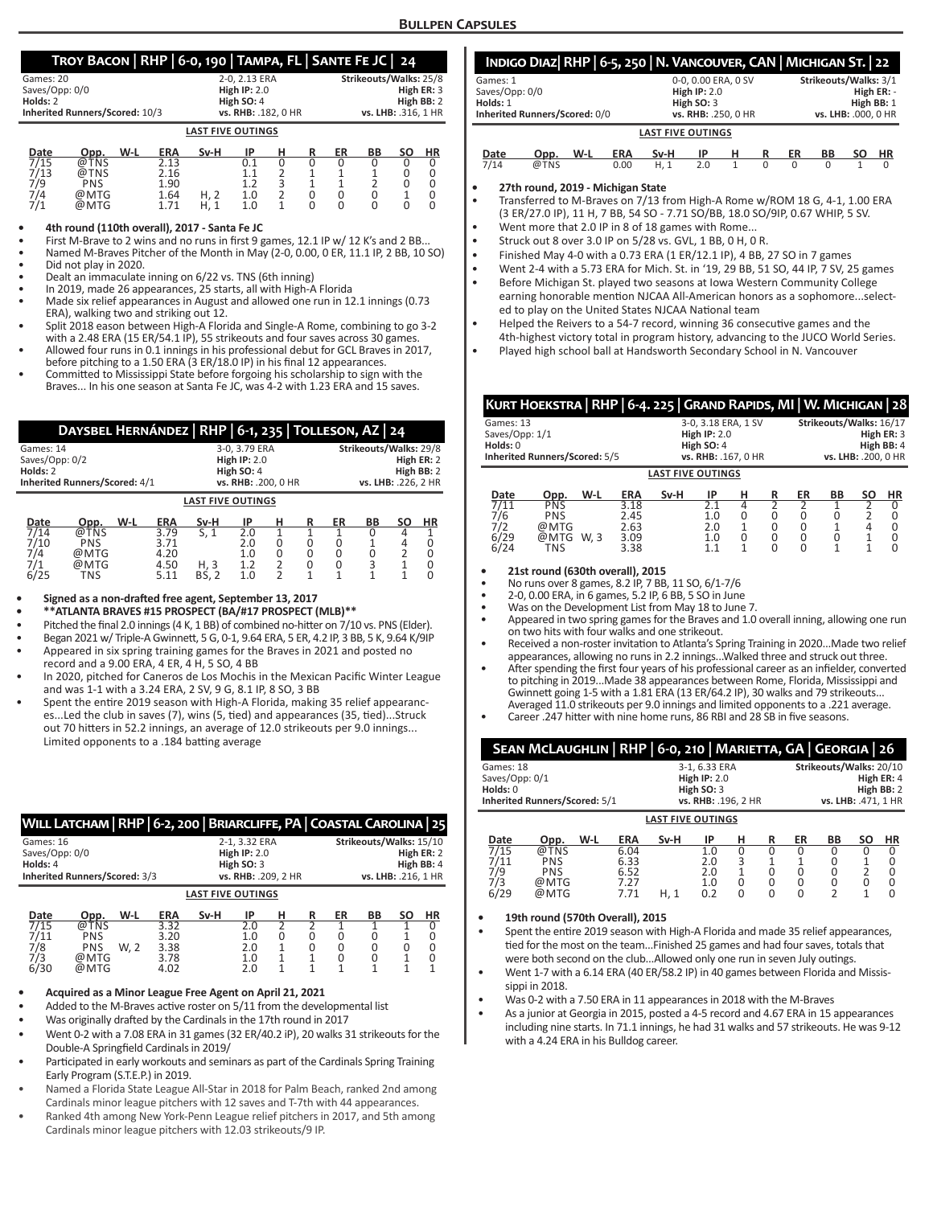### **Troy Bacon | RHP | 6-0, 190 | Tampa, FL | Sante Fe JC | 24**

|                                | $1001$ BACON [ NIII ] $\sigma$ b) 130 [ DAMI A) 1 E [ BANTETESC ] 27 |                        |
|--------------------------------|----------------------------------------------------------------------|------------------------|
| Games: 20                      | 2-0. 2.13 ERA                                                        | Strikeouts/Walks: 25/8 |
| Saves/Opp: 0/0                 | High $IP: 2.0$                                                       | High ER: 3             |
| Holds: 2                       | High SO: 4                                                           | High BB: 2             |
| Inherited Runners/Scored: 10/3 | vs. RHB: .182. 0 HR                                                  | vs. LHB: .316. 1 HR    |
|                                | <b>LAST FIVE OUTINGS</b>                                             |                        |

| Date | Opp.       | W-L<br><b>ERA</b> | Sv-H | ΙP  |  | ER | ВB | ΗR |
|------|------------|-------------------|------|-----|--|----|----|----|
| 7/15 | @т<br>TNS  | 2.13              |      |     |  |    |    |    |
| 7/13 | @TNS       | 2.16              |      |     |  |    |    |    |
| 7/9  | <b>PNS</b> | 1.90              |      |     |  |    |    |    |
| 7/4  | @MTG       | 1.64              |      | 1.0 |  |    |    |    |
| 7/1  | @MTG       | 1.71              | ц    | 1.0 |  |    |    |    |

#### **• 4th round (110th overall), 2017 - Santa Fe JC**

First M-Brave to 2 wins and no runs in first 9 games, 12.1 IP w/ 12 K's and 2 BB..

• Named M-Braves Pitcher of the Month in May (2-0, 0.00, 0 ER, 11.1 IP, 2 BB, 10 SO) • Did not play in 2020.

• Dealt an immaculate inning on 6/22 vs. TNS (6th inning)

- In 2019, made 26 appearances, 25 starts, all with High-A Florida
- Made six relief appearances in August and allowed one run in 12.1 innings (0.73 ERA), walking two and striking out 12.
- Split 2018 eason between High-A Florida and Single-A Rome, combining to go 3-2 with a 2.48 ERA (15 ER/54.1 IP), 55 strikeouts and four saves across 30 games.
- Allowed four runs in 0.1 innings in his professional debut for GCL Braves in 2017, before pitching to a 1.50 ERA (3 ER/18.0 IP) in his final 12 appearances.
- Committed to Mississippi State before forgoing his scholarship to sign with the Braves... In his one season at Santa Fe JC, was 4-2 with 1.23 ERA and 15 saves.

|                                  | DAYSBEL HERNÁNDEZ   RHP   6-1, 235   TOLLESON, AZ   24 |     |            |      |                     |   |  |    |                        |  |            |  |  |
|----------------------------------|--------------------------------------------------------|-----|------------|------|---------------------|---|--|----|------------------------|--|------------|--|--|
| Games: 14                        |                                                        |     |            |      | 3-0, 3.79 ERA       |   |  |    | Strikeouts/Walks: 29/8 |  |            |  |  |
| Saves/Opp: 0/2<br>High $IP: 2.0$ |                                                        |     |            |      |                     |   |  |    |                        |  | High ER: 2 |  |  |
| Holds: 2<br>High SO: 4           |                                                        |     |            |      |                     |   |  |    |                        |  | High BB: 2 |  |  |
| Inherited Runners/Scored: 4/1    |                                                        |     |            |      | vs. RHB: .200, 0 HR |   |  |    | vs. LHB: .226, 2 HR    |  |            |  |  |
| <b>LAST FIVE OUTINGS</b>         |                                                        |     |            |      |                     |   |  |    |                        |  |            |  |  |
| Date                             | Opp.                                                   | W-L | <b>ERA</b> | Sv-H | ΙP                  | н |  | ER | ВB                     |  | ΗR         |  |  |

#### 7/14 @TNS 3.79 S, 1 2.0 1 1 1 0 4 1 7/10 PNS 3.71 2.0 0 0 0 1 4 0 7/4 @MTG 4.20 1.0 0 0 0 0 2 0 7/1 @MTG 4.50 H, 3 1.2 2 0 0 3 1 0 6/25 TNS 5.11 BS, 2 1.0 2 1 1 1 1 0

#### **• Signed as a non-drafted free agent, September 13, 2017**

- **• \*\*ATLANTA BRAVES #15 PROSPECT (BA/#17 PROSPECT (MLB)\*\***
- Pitched the final 2.0 innings (4 K, 1 BB) of combined no-hitter on 7/10 vs. PNS (Elder).
- Began 2021 w/ Triple-A Gwinnett, 5 G, 0-1, 9.64 ERA, 5 ER, 4.2 IP, 3 BB, 5 K, 9.64 K/9IP
- Appeared in six spring training games for the Braves in 2021 and posted no record and a 9.00 ERA, 4 ER, 4 H, 5 SO, 4 BB
- In 2020, pitched for Caneros de Los Mochis in the Mexican Pacific Winter League and was 1-1 with a 3.24 ERA, 2 SV, 9 G, 8.1 IP, 8 SO, 3 BB
- Spent the entire 2019 season with High-A Florida, making 35 relief appearances...Led the club in saves (7), wins (5, tied) and appearances (35, tied)...Struck out 70 hitters in 52.2 innings, an average of 12.0 strikeouts per 9.0 innings... Limited opponents to a .184 batting average

|                          | WILL LATCHAM   RHP   6-2, 200   BRIARCLIFFE, PA   COASTAL CAROLINA   25 |      |                |               |                     |   |   |                         |                     |    |            |
|--------------------------|-------------------------------------------------------------------------|------|----------------|---------------|---------------------|---|---|-------------------------|---------------------|----|------------|
| Games: 16                |                                                                         |      |                | 2-1, 3.32 ERA |                     |   |   | Strikeouts/Walks: 15/10 |                     |    |            |
| Saves/Opp: 0/0           |                                                                         |      | High $IP: 2.0$ |               |                     |   |   |                         | High ER: 2          |    |            |
| Holds: 4                 |                                                                         |      |                |               | High $SO:3$         |   |   |                         |                     |    | High BB: 4 |
|                          | Inherited Runners/Scored: 3/3                                           |      |                |               | vs. RHB: .209, 2 HR |   |   |                         | vs. LHB: .216, 1 HR |    |            |
| <b>LAST FIVE OUTINGS</b> |                                                                         |      |                |               |                     |   |   |                         |                     |    |            |
| Date                     | Opp.                                                                    | W-L  | <b>ERA</b>     | Sv-H          | ΙP                  | н | R | ER                      | <b>BB</b>           | SΟ | <b>HR</b>  |
| 7/15                     | @TNS                                                                    |      | 3.32           |               | 2.0                 |   |   |                         |                     |    |            |
| 7/11                     | <b>PNS</b>                                                              |      | 3.20           |               | 1.0                 | O |   |                         |                     |    |            |
| 7/8<br>7/3               | <b>PNS</b>                                                              | W. 2 | 3.38           |               | 2.0                 |   |   |                         |                     |    |            |
| 6/30                     | @MTG<br>@MTG                                                            |      | 3.78<br>4.02   |               | 1.0<br>2.0          |   |   |                         |                     |    |            |
|                          |                                                                         |      |                |               |                     |   |   |                         |                     |    |            |

#### **• Acquired as a Minor League Free Agent on April 21, 2021**

Added to the M-Braves active roster on 5/11 from the developmental list

- Was originally drafted by the Cardinals in the 17th round in 2017
- Went 0-2 with a 7.08 ERA in 31 games (32 ER/40.2 iP), 20 walks 31 strikeouts for the Double-A Springfield Cardinals in 2019/
- Participated in early workouts and seminars as part of the Cardinals Spring Training Early Program (S.T.E.P.) in 2019.
- Named a Florida State League All-Star in 2018 for Palm Beach, ranked 2nd among Cardinals minor league pitchers with 12 saves and T-7th with 44 appearances.
- Ranked 4th among New York-Penn League relief pitchers in 2017, and 5th among Cardinals minor league pitchers with 12.03 strikeouts/9 IP.

| INDIGO DIAZ RHP   6-5, 250   N. VANCOUVER, CAN   MICHIGAN ST.   22 |             |     |                |      |                     |   |   |            |                       |    |           |  |  |  |
|--------------------------------------------------------------------|-------------|-----|----------------|------|---------------------|---|---|------------|-----------------------|----|-----------|--|--|--|
| Games: 1                                                           |             |     |                |      | 0-0, 0.00 ERA, 0 SV |   |   |            | Strikeouts/Walks: 3/1 |    |           |  |  |  |
| Saves/Opp: 0/0                                                     |             |     | High $IP: 2.0$ |      |                     |   |   |            | High ER: -            |    |           |  |  |  |
| Holds: 1                                                           | High $SO:3$ |     |                |      |                     |   |   | High BB: 1 |                       |    |           |  |  |  |
| Inherited Runners/Scored: 0/0                                      |             |     |                |      | vs. RHB: .250, 0 HR |   |   |            | vs. LHB: .000. 0 HR   |    |           |  |  |  |
| <b>LAST FIVE OUTINGS</b>                                           |             |     |                |      |                     |   |   |            |                       |    |           |  |  |  |
| Date                                                               | Opp.        | W-L | <b>ERA</b>     | Sv-H | ΙP                  | н |   | ER         | <b>BB</b>             | SΟ | <b>HR</b> |  |  |  |
| 7/14                                                               | @TNS        |     | 0.00           | H.1  | 2.0                 |   | O | $\Omega$   | $\Omega$              |    | $\Omega$  |  |  |  |

**• 27th round, 2019 - Michigan State**

• Transferred to M-Braves on 7/13 from High-A Rome w/ROM 18 G, 4-1, 1.00 ERA (3 ER/27.0 IP), 11 H, 7 BB, 54 SO - 7.71 SO/BB, 18.0 SO/9IP, 0.67 WHIP, 5 SV.

- Went more that 2.0 IP in 8 of 18 games with Rome... • Struck out 8 over 3.0 IP on 5/28 vs. GVL, 1 BB, 0 H, 0 R.
- 
- Finished May 4-0 with a 0.73 ERA (1 ER/12.1 IP), 4 BB, 27 SO in 7 games
- Went 2-4 with a 5.73 ERA for Mich. St. in '19, 29 BB, 51 SO, 44 IP, 7 SV, 25 games • Before Michigan St. played two seasons at Iowa Western Community College earning honorable mention NJCAA All-American honors as a sophomore...selected to play on the United States NJCAA National team
- Helped the Reivers to a 54-7 record, winning 36 consecutive games and the 4th-highest victory total in program history, advancing to the JUCO World Series.
- Played high school ball at Handsworth Secondary School in N. Vancouver

|                            | KURT HOEKSTRA   RHP   6-4. 225   GRAND RAPIDS, MI   W. MICHIGAN   28 |      |                     |                |            |                         |          |          |                                   |              |           |  |  |
|----------------------------|----------------------------------------------------------------------|------|---------------------|----------------|------------|-------------------------|----------|----------|-----------------------------------|--------------|-----------|--|--|
| Games: 13                  |                                                                      |      | 3-0, 3.18 ERA, 1 SV |                |            | Strikeouts/Walks: 16/17 |          |          |                                   |              |           |  |  |
| Saves/Opp: 1/1<br>Holds: 0 |                                                                      |      |                     | High $IP: 2.0$ |            |                         |          |          |                                   | High ER: 3   |           |  |  |
|                            | High SO: 4<br>Inherited Runners/Scored: 5/5<br>vs. RHB: .167. 0 HR   |      |                     |                |            |                         |          |          | High BB: 4<br>vs. LHB: .200. 0 HR |              |           |  |  |
|                            | <b>LAST FIVE OUTINGS</b>                                             |      |                     |                |            |                         |          |          |                                   |              |           |  |  |
| Date                       | Opp.                                                                 | W-L  | <b>ERA</b>          | Sv-H           | IP         | н                       | R        | ER       | <b>BB</b>                         | SΟ           | <b>HR</b> |  |  |
| 7/11<br>7/6                | <b>PNS</b><br><b>PNS</b>                                             |      | 3.18<br>2.45        |                | 2.1<br>1.0 | 4<br>0                  | っ<br>0   | 0        | 0                                 |              | 0         |  |  |
| 7/2                        | @MTG                                                                 |      | 2.63                |                | 2.0        |                         |          | 0        |                                   |              | 0         |  |  |
| 6/29                       | @MTG                                                                 | W, 3 | 3.09                |                | 1.0        | 0                       | $\Omega$ | 0        | 0                                 | $\mathbf{1}$ | 0         |  |  |
| 6/24                       | TNS                                                                  |      | 3.38                |                | 1.1        | 1                       | $\Omega$ | $\Omega$ | 1                                 | 1            | $\Omega$  |  |  |

### **• 21st round (630th overall), 2015**

• No runs over 8 games, 8.2 IP, 7 BB, 11 SO, 6/1-7/6

- 2-0, 0.00 ERA, in 6 games, 5.2 IP, 6 BB, 5 SO in June
- Was on the Development List from May 18 to June 7.
- Appeared in two spring games for the Braves and 1.0 overall inning, allowing one run on two hits with four walks and one strikeout.
- Received a non-roster invitation to Atlanta's Spring Training in 2020...Made two relief appearances, allowing no runs in 2.2 innings...Walked three and struck out three.
- After spending the first four years of his professional career as an infielder, converted to pitching in 2019...Made 38 appearances between Rome, Florida, Mississippi and Gwinnett going 1-5 with a 1.81 ERA (13 ER/64.2 IP), 30 walks and 79 strikeouts... Averaged 11.0 strikeouts per 9.0 innings and limited opponents to a .221 average.
- Career .247 hitter with nine home runs, 86 RBI and 28 SB in five seasons.

| SEAN MCLAUGHLIN   RHP   6-0, 210   MARIETTA, GA   GEORGIA   26 |                          |                         |  |  |  |  |  |  |  |  |
|----------------------------------------------------------------|--------------------------|-------------------------|--|--|--|--|--|--|--|--|
| Games: 18                                                      | 3-1, 6.33 ERA            | Strikeouts/Walks: 20/10 |  |  |  |  |  |  |  |  |
| Saves/Opp: 0/1                                                 | High $IP: 2.0$           | High ER: 4              |  |  |  |  |  |  |  |  |
| Holds: 0                                                       | High $SO:3$              | High $BB:2$             |  |  |  |  |  |  |  |  |
| Inherited Runners/Scored: 5/1                                  | vs. RHB: .196. 2 HR      | vs. LHB: .471, 1 HR     |  |  |  |  |  |  |  |  |
|                                                                | <b>LAST FIVE OUTINGS</b> |                         |  |  |  |  |  |  |  |  |

| Date | Opp.       | W-L | <b>ERA</b> | Sv-H        | ID  | н | ER | BВ | SΟ | ΗR |
|------|------------|-----|------------|-------------|-----|---|----|----|----|----|
| 7/15 | @TNS       |     | 6.04       |             | 1.0 |   |    |    |    |    |
| 7/11 | <b>PNS</b> |     | 6.33       |             | 2.0 | ₹ |    |    |    |    |
| 7/9  | PNS        |     | 6.52       |             | 2.0 |   |    |    |    |    |
| 7/3  | @MTG       |     | 7.27       |             | 1.0 | 0 |    |    |    |    |
| 6/29 | @MTG       |     | 7.71       | $H, \Delta$ | 0.2 |   |    |    |    |    |
|      |            |     |            |             |     |   |    |    |    |    |

#### **• 19th round (570th Overall), 2015**

• Spent the entire 2019 season with High-A Florida and made 35 relief appearances, tied for the most on the team...Finished 25 games and had four saves, totals that were both second on the club...Allowed only one run in seven July outings.

- Went 1-7 with a 6.14 ERA (40 ER/58.2 IP) in 40 games between Florida and Mississinni in 2018.
- Was 0-2 with a 7.50 ERA in 11 appearances in 2018 with the M-Braves
- As a junior at Georgia in 2015, posted a 4-5 record and 4.67 ERA in 15 appearances including nine starts. In 71.1 innings, he had 31 walks and 57 strikeouts. He was 9-12 with a 4.24 ERA in his Bulldog career.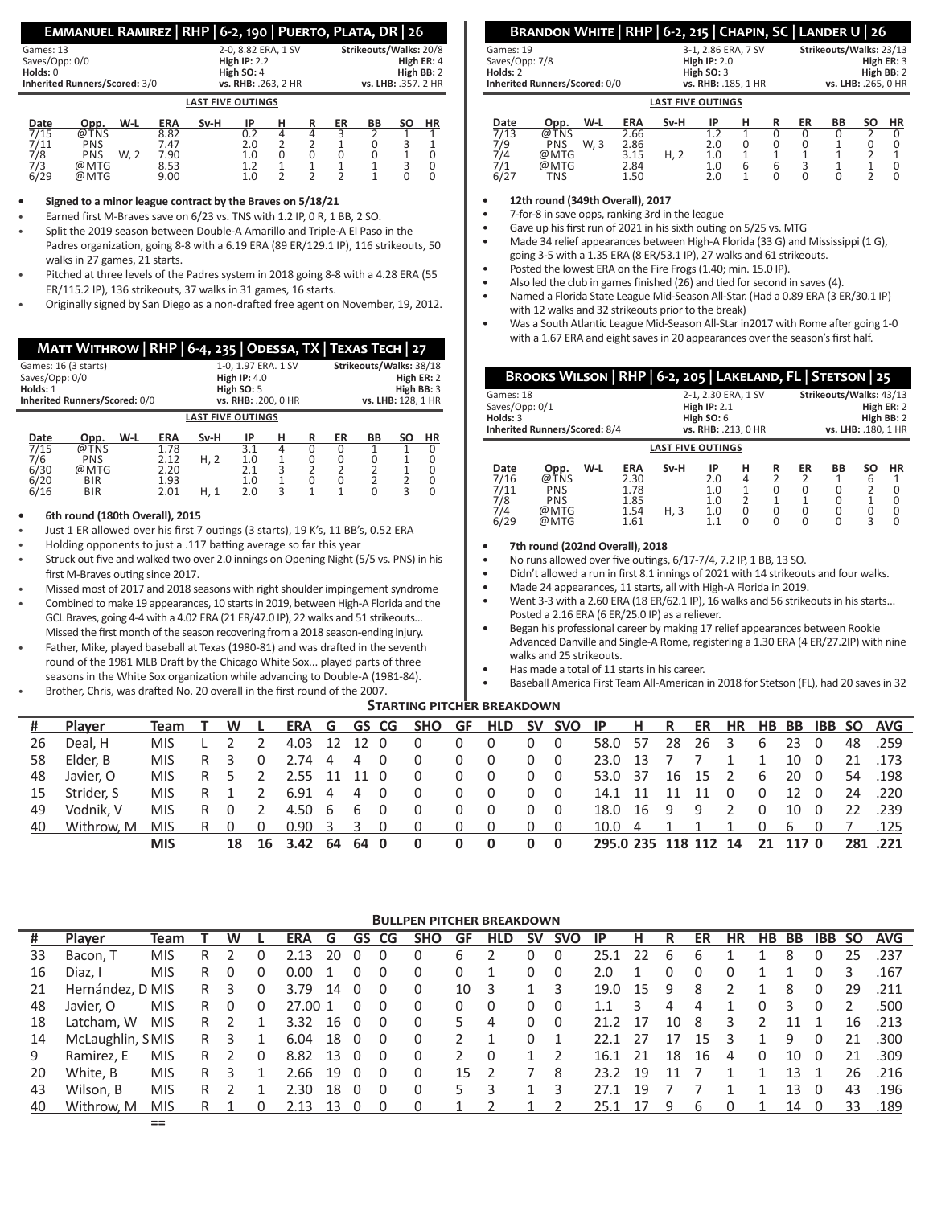### **Emmanuel Ramirez | RHP | 6-2, 190 | Puerto, Plata, DR | 26**

| Games: 13                     | 2-0.8.82 ERA. 1 SV       | Strikeouts/Walks: 20/8 |
|-------------------------------|--------------------------|------------------------|
| Saves/Opp: 0/0                | High $IP: 2.2$           | High ER: 4             |
| Holds: 0                      | High SO: 4               | High BB: 2             |
| Inherited Runners/Scored: 3/0 | vs. RHB: .263. 2 HR      | vs. LHB: .357. 2 HR    |
|                               | <b>LAST FIVE OUTINGS</b> |                        |
| $ -$                          | . .                      | $\cdots$               |

| Date           | Opp.       | W-L  | <b>ERA</b> | Sv-H | ID  |  | ER | BB | ΗR |
|----------------|------------|------|------------|------|-----|--|----|----|----|
| $\frac{7}{15}$ | TNS<br>ര്. |      | 8.82       |      | U.L |  |    |    |    |
| 7/11           | PNS        |      | 7.47       |      | 2.0 |  |    |    |    |
| 7/8            | PNS        | W. 2 | 7.90       |      | 1.0 |  |    |    |    |
| 7/3            | @MTG       |      | 8.53       |      |     |  |    |    |    |
| 6/29           | @MTG       |      | 9.00       |      | 1.0 |  |    |    |    |

**• Signed to a minor league contract by the Braves on 5/18/21**

• Earned first M-Braves save on 6/23 vs. TNS with 1.2 IP, 0 R, 1 BB, 2 SO.

- Split the 2019 season between Double-A Amarillo and Triple-A El Paso in the Padres organization, going 8-8 with a 6.19 ERA (89 ER/129.1 IP), 116 strikeouts, 50 walks in 27 games, 21 starts.
- Pitched at three levels of the Padres system in 2018 going 8-8 with a 4.28 ERA (55 ER/115.2 IP), 136 strikeouts, 37 walks in 31 games, 16 starts.
- Originally signed by San Diego as a non-drafted free agent on November, 19, 2012.

|                                                    |                              |     |            |                          |                     |                | МАТТ WITHROW   RHP   6-4, 235   ODESSA, TX   ТЕХАЅ ТЕСН   27 |                    |                         |                |            |  |  |  |  |
|----------------------------------------------------|------------------------------|-----|------------|--------------------------|---------------------|----------------|--------------------------------------------------------------|--------------------|-------------------------|----------------|------------|--|--|--|--|
| Games: 16 (3 starts)                               |                              |     |            |                          | 1-0.1.97 ERA.1 SV   |                |                                                              |                    | Strikeouts/Walks: 38/18 |                |            |  |  |  |  |
| Saves/Opp: 0/0                                     |                              |     |            |                          | High $IP: 4.0$      |                |                                                              |                    |                         |                | High ER: 2 |  |  |  |  |
| Holds: 1                                           |                              |     |            |                          | High $SO: 5$        |                | High BB: 3                                                   |                    |                         |                |            |  |  |  |  |
| Inherited Runners/Scored: 0/0                      |                              |     |            |                          | vs. RHB: .200. 0 HR |                |                                                              | vs. LHB: 128. 1 HR |                         |                |            |  |  |  |  |
|                                                    |                              |     |            | <b>LAST FIVE OUTINGS</b> |                     |                |                                                              |                    |                         |                |            |  |  |  |  |
| Date                                               | Opp.                         | W-L | <b>ERA</b> | Sv-H                     | ΙP                  | н              | R                                                            | ER                 | ВB                      | SΟ             | ΗR         |  |  |  |  |
| $\overline{\overline{\overline{a}}$ $\overline{b}$ | $\bigcirc$ $\top$ $\bigcirc$ |     | 170        |                          | $\sim$ $\sim$       | $\overline{a}$ | $\sim$                                                       | $\sim$             | $\overline{ }$          | $\overline{ }$ | $\sim$     |  |  |  |  |

| pucc | っしゃ・       | . | $\blacksquare$ | ---  |           | <br> | . | -- | ~ |  |
|------|------------|---|----------------|------|-----------|------|---|----|---|--|
| 7/15 | @TNS       |   | 1.78           |      |           |      |   |    |   |  |
| 7/6  | <b>PNS</b> |   | 2.12           | H, Z | 1.0       |      |   |    |   |  |
| 6/30 | @MTG       |   | 2.20           |      | <b>CC</b> |      |   |    |   |  |
| 6/20 | <b>BIR</b> |   | 1.93           |      | 1.0       |      |   |    |   |  |
| 6/16 | <b>BIR</b> |   | 2.01           |      | 2.0       |      |   |    |   |  |
|      |            |   |                |      |           |      |   |    |   |  |

### **• 6th round (180th Overall), 2015**

- Just 1 ER allowed over his first 7 outings (3 starts), 19 K's, 11 BB's, 0.52 ERA
- Holding opponents to just a .117 batting average so far this year
- Struck out five and walked two over 2.0 innings on Opening Night (5/5 vs. PNS) in his first M-Braves outing since 2017.
- Missed most of 2017 and 2018 seasons with right shoulder impingement syndrome
- Combined to make 19 appearances, 10 starts in 2019, between High-A Florida and the GCL Braves, going 4-4 with a 4.02 ERA (21 ER/47.0 IP), 22 walks and 51 strikeouts... Missed the first month of the season recovering from a 2018 season-ending injury.
- Father, Mike, played baseball at Texas (1980-81) and was drafted in the seventh round of the 1981 MLB Draft by the Chicago White Sox... played parts of three seasons in the White Sox organization while advancing to Double-A (1981-84).
- Brother, Chris, was drafted No. 20 overall in the first round of the 2007.

### **Brandon White | RHP | 6-2, 215 | Chapin, SC | Lander U | 26**

|                               | LACT FIVE OUTINGS   |                         |
|-------------------------------|---------------------|-------------------------|
| Inherited Runners/Scored: 0/0 | vs. RHB: .185. 1 HR | vs. LHB: .265. 0 HR     |
| Holds: 2                      | High $SO:3$         | High BB: 2              |
| Saves/Opp: 7/8                | High $IP: 2.0$      | High ER: 3              |
| Games: 19                     | 3-1, 2.86 ERA, 7 SV | Strikeouts/Walks: 23/13 |

|      | <b>LAST FIVE OUTINGS</b> |      |            |      |     |   |   |    |    |    |           |  |  |
|------|--------------------------|------|------------|------|-----|---|---|----|----|----|-----------|--|--|
| Date | Opp.                     | W-L  | <b>ERA</b> | Sv-H | IP  |   | R | ER | ΒB | SΟ | <b>HR</b> |  |  |
| 713  | യ.<br>TNS                |      | 2.66       |      |     |   |   |    |    |    |           |  |  |
| 7/9  | <b>PNS</b>               | W. 3 | 2.86       |      | 2.0 |   |   |    |    |    |           |  |  |
| 74   | @MTG                     |      | 3.15       | H, 2 | 1.0 |   |   |    |    |    |           |  |  |
|      | @MTG                     |      | 2.84       |      | 1.0 | 6 | b | ∽  |    |    |           |  |  |
| 6/27 | TNS                      |      | 1.50       |      | 2.0 |   |   |    |    |    |           |  |  |

**• 12th round (349th Overall), 2017**

- 7-for-8 in save opps, ranking 3rd in the league
- Gave up his first run of 2021 in his sixth outing on 5/25 vs. MTG
- Made 34 relief appearances between High-A Florida (33 G) and Mississippi (1 G), going 3-5 with a 1.35 ERA (8 ER/53.1 IP), 27 walks and 61 strikeouts.
- Posted the lowest ERA on the Fire Frogs (1.40; min. 15.0 IP).
- Also led the club in games finished (26) and tied for second in saves (4).
- Named a Florida State League Mid-Season All-Star. (Had a 0.89 ERA (3 ER/30.1 IP) with 12 walks and 32 strikeouts prior to the break)
- Was a South Atlantic League Mid-Season All-Star in2017 with Rome after going 1-0 with a 1.67 ERA and eight saves in 20 appearances over the season's first half.

| BROOKS WILSON   RHP   6-2, 205   LAKELAND, FL   STETSON   25 |                          |                         |
|--------------------------------------------------------------|--------------------------|-------------------------|
| Games: 18                                                    | 2-1, 2.30 ERA, 1 SV      | Strikeouts/Walks: 43/13 |
| Saves/Opp: 0/1                                               | High $IP: 2.1$           | High ER: 2              |
| Holds: $3$                                                   | High $SO:6$              | High BB: 2              |
| Inherited Runners/Scored: 8/4                                | vs. RHB: .213, 0 HR      | vs. LHB: . 180, 1 HR    |
|                                                              | <b>LAST FIVE OUTINGS</b> |                         |

| Date | Opp. | W-L | <b>ERA</b> | Sv-H | ΙP  | н | ER | ΒB | SΟ | ΗR |
|------|------|-----|------------|------|-----|---|----|----|----|----|
| 7/16 | @TNS |     | 2.30       |      | 2.0 | 4 |    |    |    |    |
| 7/11 | PNS  |     | 1.78       |      | 1.0 |   |    |    |    |    |
| 7/8  | PNS  |     | 1.85       |      | 1.0 |   |    |    |    |    |
| 7/4  | @MTG |     | 1.54       | H. 3 | 1.0 |   |    |    |    |    |
| 6/29 | @MTG |     | 1.61       |      | 11  |   |    |    | ∽  |    |

#### **• 7th round (202nd Overall), 2018**

• No runs allowed over five outings, 6/17-7/4, 7.2 IP, 1 BB, 13 SO.

- Didn't allowed a run in first 8.1 innings of 2021 with 14 strikeouts and four walks.
- Made 24 appearances, 11 starts, all with High-A Florida in 2019.

• Went 3-3 with a 2.60 ERA (18 ER/62.1 IP), 16 walks and 56 strikeouts in his starts...

Posted a 2.16 ERA (6 ER/25.0 IP) as a reliever. • Began his professional career by making 17 relief appearances between Rookie

Advanced Danville and Single-A Rome, registering a 1.30 ERA (4 ER/27.2IP) with nine walks and 25 strikeouts.

- Has made a total of 11 starts in his career.
- Baseball America First Team All-American in 2018 for Stetson (FL), had 20 saves in 32

### **STARTING PITCHER BREAKDOWN**

|    | <b>Player</b> | Team       | T W L |                |                                |                |                | ERA G GS CG SHO GF HLD SV SVO IP H R ER HR HB BB IBB SO AVG |              |                |            |                      |    |             |                |          |      |  |         |
|----|---------------|------------|-------|----------------|--------------------------------|----------------|----------------|-------------------------------------------------------------|--------------|----------------|------------|----------------------|----|-------------|----------------|----------|------|--|---------|
| 26 | Deal. H       | MIS.       |       | $\overline{2}$ | 4.03 12 12 0                   |                |                | 0                                                           | $\Omega$     | $\overline{0}$ | $0\quad 0$ | 58.0 57              |    | 28 26 3     |                | 6        | 23 0 |  | 48.259  |
| 58 | Elder. B      | MIS.       | R 3   | $\overline{0}$ | 2.74 4                         | $\overline{4}$ | $\overline{0}$ | 0                                                           | $\Omega$     | $\overline{0}$ | $0\quad 0$ | 23.0 13              | 77 |             | $\overline{1}$ | 1        | 10 0 |  | 21 .173 |
| 48 | Javier. O     | MIS.       | R 5 2 |                | 2.55 11 11 0                   |                |                | $\Omega$                                                    | $\mathbf{0}$ | $\overline{0}$ | $0\quad 0$ | 53.0 37 16 15 2      |    |             |                | 6        | 20 0 |  | 54 .198 |
| 15 | Strider. S    | MIS.       | R 1 2 |                | 6.91 4 4 0                     |                |                | $\overline{0}$                                              | $\Omega$     | $\overline{0}$ | $0\quad 0$ | 14.1 11              | 11 | 11 0        |                | $\Omega$ | 12 O |  | 24 220  |
| 49 | Vodnik. V     | MIS.       | R 0 2 |                | 4.50 6 6 0                     |                |                | 0                                                           | $\Omega$     | $\overline{0}$ | $0\quad 0$ | 18.0 16 9 9 2        |    |             |                | $\Omega$ | 10 0 |  | 22.239  |
| 40 | Withrow. M    | MIS.       | R 0 0 |                | $0.90 \quad 3 \quad 3 \quad 0$ |                |                | $\begin{matrix} 0 & 0 & 0 & 0 & 0 \end{matrix}$             |              |                |            | 10.0 4               |    | 1 1 1 0 6 0 |                |          |      |  | 7.125   |
|    |               | <b>MIS</b> |       |                | 18 16 3.42 64                  | 640            |                | 0                                                           | $\mathbf{0}$ | $\mathbf{0}$   | $0\quad 0$ | 295.0 235 118 112 14 |    |             |                | 21 117 0 |      |  | 281.221 |

### **Bullpen pitcher breakdown**

| #  | <b>Player</b>    | Team       |     | W |              | ERA G GS CG            |      |          |                         | <b>SHO</b> | GF.           | <b>HLD</b> | <b>SV</b> | <b>SVO</b>               | IP.           | - H  | R    | ER           | HR            | HB BB        |      |          |               | <b>IBB SO AVG</b> |
|----|------------------|------------|-----|---|--------------|------------------------|------|----------|-------------------------|------------|---------------|------------|-----------|--------------------------|---------------|------|------|--------------|---------------|--------------|------|----------|---------------|-------------------|
| 33 | Bacon, T         | MIS        |     |   |              | 2.13                   | 20   |          | 0                       | 0          | 6             |            | 0         |                          | 25.1          | - 22 | 6    | 6            |               |              |      |          | 25            | .237              |
| 16 | Diaz. I          | <b>MIS</b> | R   | 0 | 0            | $0.00 \quad 1 \quad 0$ |      |          | $\overline{\mathbf{0}}$ | $\Omega$   | 0             |            | 0         | $\overline{\mathbf{0}}$  | $2.0^{\circ}$ |      | 0    | 0            | 0             | $\mathbf{1}$ |      |          | 3             | .167              |
| 21 | Hernández, D MIS |            | R — | 3 | 0            | 3.79 14 0              |      |          | $\Omega$                | $\Omega$   | 10            | 3          |           | $\overline{\phantom{a}}$ | 19.0 15       |      | 9    | 8            | $\mathcal{P}$ | $\mathbf{1}$ | 8    | $\Omega$ | 29            | .211              |
| 48 | Javier, O        | <b>MIS</b> | R.  | 0 | 0            | 27.00 1                |      | $\Omega$ | 0                       | $\Omega$   | 0             | $\Omega$   | 0         | $\Omega$                 | 1.1           | 3    | 4    |              |               | $\Omega$     |      |          | $\mathcal{P}$ | .500              |
| 18 | Latcham, W       | <b>MIS</b> | R 2 |   | $\mathbf{1}$ | 3.32 16 0              |      |          | $\overline{0}$          | 0          | 5.            | 4          | 0         | - 0                      | 21.2 17       |      | 10 8 |              | 3             | 2            | 11 1 |          |               | 16 .213           |
| 14 | McLaughlin, SMIS |            | R   | 3 | $\mathbf{1}$ | 6.04 18 0              |      |          | 0                       |            |               |            |           |                          | 22.1          | 27   | 17   | 15           |               | 1            | 9    |          | 21            | - 300             |
| 9  | Ramirez. E       | <b>MIS</b> | R 2 |   | $\Omega$     | 8.82 13 0              |      |          | $\overline{0}$          |            | $\mathcal{P}$ | $\Omega$   |           |                          | 16.1 21       |      | 18   | - 16         | 4             | $\Omega$     | 10 0 |          |               | 21 .309           |
| 20 | White, B         | <b>MIS</b> | R.  | 3 |              | 2.66 19 0              |      |          | $\Omega$                | 0          | 15.           |            |           | 8                        | 23.2 19       |      | 11   |              |               | 1            | 13 1 |          |               | 26 .216           |
| 43 | Wilson, B        | <b>MIS</b> | R   |   |              | 2.30                   | 18 0 |          | 0                       |            | 5.            |            |           |                          | 271           | - 19 |      |              |               |              | 13   |          | 43            | .196              |
| 40 | Withrow. M       | MIS.       | R 1 |   | 0            | 2.13                   | -13  |          |                         |            |               |            |           |                          | 25.1          |      | q    | <sub>b</sub> |               |              | 14   |          | 33.           | .189              |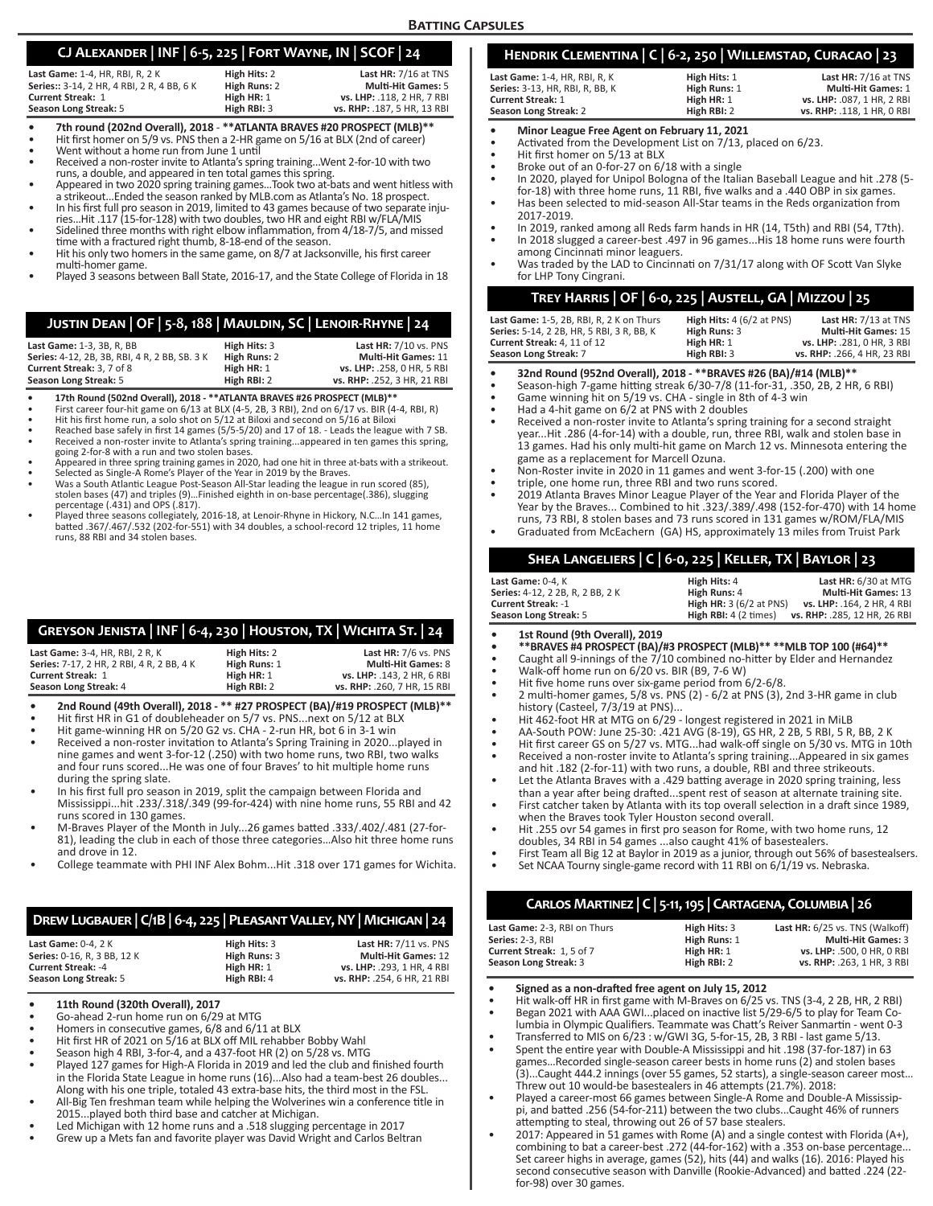### **CJ Alexander | INF | 6-5, 225 | Fort Wayne, IN | SCOF | 24**

| Last Game: 1-4, HR, RBI, R, 2 K            | High Hits: 2 | Last HR: 7/16 at TNS        |
|--------------------------------------------|--------------|-----------------------------|
| Series:: 3-14, 2 HR, 4 RBI, 2 R, 4 BB, 6 K | High Runs: 2 | <b>Multi-Hit Games: 5</b>   |
| <b>Current Streak: 1</b>                   | High HR: 1   | vs. LHP: .118. 2 HR. 7 RBI  |
| Season Long Streak: 5                      | High RBI: 3  | vs. RHP: .187, 5 HR, 13 RBI |

- 7th round (202nd Overall), 2018 \*\*ATLANTA BRAVES #20 PROSPECT (MLB)\*\*<br>Hit first homer on 5/9 vs. PNS then a 2-HR game on 5/16 at BLX (2nd of career)<br>Went without a home run from June 1 until<br>Received a non-roster invite
- 
- 

- runs, a double, and appeared in ten total games this spring.<br>• Appeared in two 2020 spring training games...Took two at-bats and went hitless with<br>• Appeared in two 2020 spring training games...Took two at-bats and went hi
- In his first full pro season in 2019, limited to 43 games because of two separate inju-<br>ries...Hit .117 (15-for-128) with two doubles, two HR and eight RBI w/FLA/MIS<br>Sidelined three months with right elbow inflammation, fr
- 
- Hit his only two homers in the same game, on 8/7 at Jacksonville, his first career<br>multi-homer game.
- Played 3 seasons between Ball State, 2016-17, and the State College of Florida in 18

### **Justin Dean | OF | 5-8, 188 | Mauldin, SC | Lenoir-Rhyne | 24**

| Last Game: 1-3, 3B, R, BB                  | High Hits: 3 | <b>Last HR: 7/10 vs. PNS</b> |
|--------------------------------------------|--------------|------------------------------|
| Series: 4-12, 2B, 3B, RBI, 4R, 2BB, SB, 3K | High Runs: 2 | <b>Multi-Hit Games: 11</b>   |
| Current Streak: 3, 7 of 8                  | High HR: 1   | vs. LHP: .258. 0 HR. 5 RBI   |
| Season Long Streak: 5                      | High RBI: 2  | vs. RHP: .252. 3 HR. 21 RBI  |

- 
- 
- 
- **17th Round (502nd Overall), 2018 \*\*ATLANTA BRAVES #26 PROSPECT (MLB)\*\***<br>First career four-hit game on 6/13 at BLX (4-5, 2B, 3 RBI), 2nd on 6/17 vs. BIR (4-4, RBI, R)<br>Hit his first home run, a solo shot on 5/12 at Bliox
- going 2-for-8 with a run and two stolen bases.<br>
 Appeared in three spring training games in 2020, had one hit in three at-bats with a strikeout.<br>
 Selected as Single-A Rome's Player of the Year in 2019 by the Braves.<br>
•
- 
- 
- percentage (.431) and OPS (.817). Played three seasons collegiately, 2016-18, at Lenoir-Rhyne in Hickory, N.C…In 141 games, batted .367/.467/.532 (202-for-551) with 34 doubles, a school-record 12 triples, 11 home runs, 88 RBI and 34 stolen bases.

### **Greyson Jenista | INF | 6-4, 230 | Houston, TX | Wichita St. | 24**

| Last Game: 3-4, HR, RBI, 2 R, K           | High Hits: 2 | Last $HR: 7/6$ vs. PNS      |
|-------------------------------------------|--------------|-----------------------------|
| Series: 7-17, 2 HR, 2 RBI, 4 R, 2 BB, 4 K | High Runs: 1 | <b>Multi-Hit Games: 8</b>   |
| <b>Current Streak: 1</b>                  | High HR: 1   | vs. LHP: .143. 2 HR. 6 RBI  |
| Season Long Streak: 4                     | High RBI: 2  | vs. RHP: .260. 7 HR. 15 RBI |

**• 2nd Round (49th Overall), 2018 - \*\* #27 PROSPECT (BA)/#19 PROSPECT (MLB)\*\***

- Hit first HR in G1 of doubleheader on 5/7 vs. PNS...next on 5/12 at BLX
- Hit game-winning HR on 5/20 G2 vs. CHA 2-run HR, bot 6 in 3-1 win • Received a non-roster invitation to Atlanta's Spring Training in 2020...played in nine games and went 3-for-12 (.250) with two home runs, two RBI, two walks
- and four runs scored...He was one of four Braves' to hit multiple home runs during the spring slate. • In his first full pro season in 2019, split the campaign between Florida and
- Mississippi...hit .233/.318/.349 (99-for-424) with nine home runs, 55 RBI and 42 runs scored in 130 games.
- M-Braves Player of the Month in July...26 games batted .333/.402/.481 (27-for-81), leading the club in each of those three categories…Also hit three home runs and drove in 12.
- College teammate with PHI INF Alex Bohm...Hit .318 over 171 games for Wichita.

### **Drew Lugbauer | C/1B | 6-4, 225 | Pleasant Valley, NY | Michigan | 24**

| Last Game: $0-4.2K$         | High Hits: 3 | <b>Last HR: 7/11 vs. PNS</b> |
|-----------------------------|--------------|------------------------------|
| Series: 0-16, R, 3 BB, 12 K | High Runs: 3 | <b>Multi-Hit Games: 12</b>   |
| <b>Current Streak: -4</b>   | High HR: 1   | vs. LHP: .293. 1 HR. 4 RBI   |
| Season Long Streak: 5       | High RBI: 4  | vs. RHP: .254. 6 HR. 21 RBI  |
|                             |              |                              |

- **• 11th Round (320th Overall), 2017**
- Go-ahead 2-run home run on 6/29 at MTG
- Homers in consecutive games, 6/8 and 6/11 at BLX
- Hit first HR of 2021 on 5/16 at BLX off MIL rehabber Bobby Wahl
- Season high 4 RBI, 3-for-4, and a 437-foot HR (2) on 5/28 vs. MTG
- Played 127 games for High-A Florida in 2019 and led the club and finished fourth in the Florida State League in home runs (16)...Also had a team-best 26 doubles... Along with his one triple, totaled 43 extra-base hits, the third most in the FSL.
- All-Big Ten freshman team while helping the Wolverines win a conference title in 2015...played both third base and catcher at Michigan.
- Led Michigan with 12 home runs and a .518 slugging percentage in 2017
- Grew up a Mets fan and favorite player was David Wright and Carlos Beltran

# **Hendrik Clementina | C | 6-2, 250 | Willemstad, Curacao | 23**

| Last Game: 1-4. HR. RBI. R. K          | High Hits: 1 | Last $HR: 7/16$ at TNS     |
|----------------------------------------|--------------|----------------------------|
| <b>Series:</b> 3-13, HR, RBI, R, BB, K | High Runs: 1 | <b>Multi-Hit Games: 1</b>  |
| Current Streak: 1                      | High HR: 1   | vs. LHP: .087. 1 HR. 2 RBI |
| Season Long Streak: 2                  | High RBI: 2  | vs. RHP: .118. 1 HR. 0 RBI |

- **Minor League Free Agent on February 11, 2021**<br>• Activated from the Development List on 7/13, placed on 6/23.
- 
- Hit first homer on 5/13 at BLX
- Broke out of an 0-for-27 on 6/18 with a single • In 2020, played for Unipol Bologna of the Italian Baseball League and hit .278 (5-
- for-18) with three home runs, 11 RBI, five walks and a .440 OBP in six games. • Has been selected to mid-season All-Star teams in the Reds organization from 2017-2019.
- In 2019, ranked among all Reds farm hands in HR (14, T5th) and RBI (54, T7th). In 2018 slugged a career-best .497 in 96 games...His 18 home runs were fourth
- among Cincinnati minor leaguers. • Was traded by the LAD to Cincinnati on 7/31/17 along with OF Scott Van Slyke
- for LHP Tony Cingrani.

### **Trey Harris | OF | 6-0, 225 | Austell, GA | Mizzou | 25**

| Last Game: 1-5, 2B, RBI, R, 2 K on Thurs  |              | High Hits: $4(6/2$ at PNS) | Last HR: 7/13 at TNS        |
|-------------------------------------------|--------------|----------------------------|-----------------------------|
| Series: 5-14, 2 2B, HR, 5 RBI, 3 R, BB, K | High Runs: 3 |                            | <b>Multi-Hit Games: 15</b>  |
| Current Streak: 4, 11 of 12               | High HR: 1   |                            | vs. LHP: .281. 0 HR. 3 RBI  |
| Season Long Streak: 7                     | High RBI: 3  |                            | vs. RHP: .266, 4 HR, 23 RBI |
|                                           |              |                            |                             |

- **• 32nd Round (952nd Overall), 2018 \*\*BRAVES #26 (BA)/#14 (MLB)\*\***
- Season-high 7-game hitting streak 6/30-7/8 (11-for-31, .350, 2B, 2 HR, 6 RBI)
- Game winning hit on 5/19 vs. CHA single in 8th of 4-3 win
- Had a 4-hit game on 6/2 at PNS with 2 doubles
- Received a non-roster invite to Atlanta's spring training for a second straight year...Hit .286 (4-for-14) with a double, run, three RBI, walk and stolen base in 13 games. Had his only multi-hit game on March 12 vs. Minnesota entering the game as a replacement for Marcell Ozuna.
- Non-Roster invite in 2020 in 11 games and went 3-for-15 (.200) with one
- triple, one home run, three RBI and two runs scored.
- 2019 Atlanta Braves Minor League Player of the Year and Florida Player of the Year by the Braves... Combined to hit .323/.389/.498 (152-for-470) with 14 home runs, 73 RBI, 8 stolen bases and 73 runs scored in 131 games w/ROM/FLA/MIS
- Graduated from McEachern (GA) HS, approximately 13 miles from Truist Park

## **Shea Langeliers | C | 6-0, 225 | Keller, TX | Baylor | 23**

| <b>Last Game:</b> 0-4. K         | High Hits: 4                          | Last $HR: 6/30$ at MTG       |
|----------------------------------|---------------------------------------|------------------------------|
| Series: 4-12, 2 2B, R, 2 BB, 2 K | High Runs: 4                          | <b>Multi-Hit Games: 13</b>   |
| Current Streak: -1               | <b>High HR: 3 (6/2 at PNS)</b>        | vs. LHP: .164. 2 HR. 4 RBI   |
| Season Long Streak: 5            | <b>High RBI:</b> $4(2 \text{ times})$ | vs. RHP: .285, 12 HR, 26 RBI |
|                                  |                                       |                              |

- **• 1st Round (9th Overall), 2019**
- **• \*\*BRAVES #4 PROSPECT (BA)/#3 PROSPECT (MLB)\*\* \*\*MLB TOP 100 (#64)\*\***
- Caught all 9-innings of the 7/10 combined no-hitter by Elder and Hernandez
- Walk-off home run on 6/20 vs. BIR (B9, 7-6 W)
- Hit five home runs over six-game period from 6/2-6/8.
- 2 multi-homer games, 5/8 vs. PNS (2) 6/2 at PNS (3), 2nd 3-HR game in club history (Casteel, 7/3/19 at PNS)...
- Hit 462-foot HR at MTG on 6/29 longest registered in 2021 in MiLB
- AA-South POW: June 25-30: .421 AVG (8-19), GS HR, 2 2B, 5 RBI, 5 R, BB, 2 K
- Hit first career GS on 5/27 vs. MTG...had walk-off single on 5/30 vs. MTG in 10th • Received a non-roster invite to Atlanta's spring training...Appeared in six games
- and hit .182 (2-for-11) with two runs, a double, RBI and three strikeouts. Let the Atlanta Braves with a .429 batting average in 2020 spring training, less
- than a year after being drafted...spent rest of season at alternate training site. • First catcher taken by Atlanta with its top overall selection in a draft since 1989,
- when the Braves took Tyler Houston second overall.
- Hit .255 ovr 54 games in first pro season for Rome, with two home runs, 12 doubles, 34 RBI in 54 games ...also caught 41% of basestealers.
- First Team all Big 12 at Baylor in 2019 as a junior, through out 56% of basestealsers.
- Set NCAA Tourny single-game record with 11 RBI on 6/1/19 vs. Nebraska.

## **Carlos Martinez | C | 5-11, 195 | Cartagena, Columbia | 26**

| Last Game: 2-3, RBI on Thurs | High Hits: 3 | Last HR: 6/25 vs. TNS (Walkoff) |
|------------------------------|--------------|---------------------------------|
| Series: 2-3. RBI             | High Runs: 1 | <b>Multi-Hit Games: 3</b>       |
| Current Streak: 1.5 of 7     | High HR: 1   | vs. LHP: .500. 0 HR. 0 RBI      |
| Season Long Streak: 3        | High RBI: 2  | vs. RHP: .263. 1 HR. 3 RBI      |

- **• Signed as a non-drafted free agent on July 15, 2012**
- Hit walk-off HR in first game with M-Braves on  $6/25$  vs. TNS  $(3-4, 2, 2B, HR, 2, RB)$
- Began 2021 with AAA GWI...placed on inactive list 5/29-6/5 to play for Team Columbia in Olympic Qualifiers. Teammate was Chatt's Reiver Sanmartin - went 0-3
- Transferred to MIS on 6/23 : w/GWI 3G, 5-for-15, 2B, 3 RBI last game 5/13.
- Spent the entire year with Double-A Mississippi and hit .198 (37-for-187) in 63 games…Recorded single-season career bests in home runs (2) and stolen bases (3)...Caught 444.2 innings (over 55 games, 52 starts), a single-season career most… Threw out 10 would-be basestealers in 46 attempts (21.7%). 2018:
- Played a career-most 66 games between Single-A Rome and Double-A Mississippi, and batted .256 (54-for-211) between the two clubs...Caught 46% of runners attempting to steal, throwing out 26 of 57 base stealers.
- 2017: Appeared in 51 games with Rome (A) and a single contest with Florida (A+), combining to bat a career-best .272 (44-for-162) with a .353 on-base percentage. Set career highs in average, games (52), hits (44) and walks (16). 2016: Played his second consecutive season with Danville (Rookie-Advanced) and batted .224 (22 for-98) over 30 games.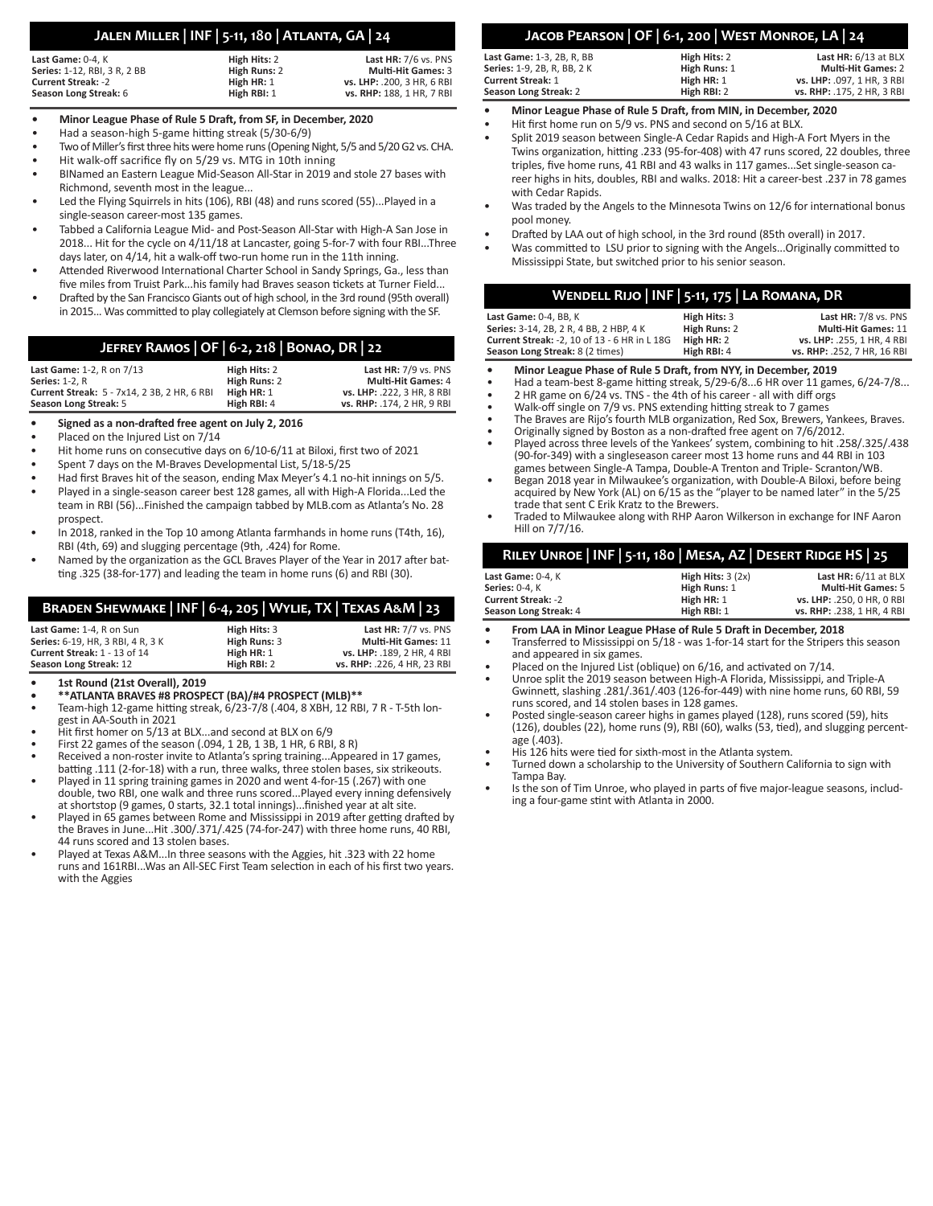## **Jalen Miller | INF | 5-11, 180 | Atlanta, GA | 24**

| Last Game: 0-4. K<br>Series: 1-12, RBI, 3 R, 2 BB | High Hits: 2<br>High Runs: 2 | Last $HR: 7/6$ vs. PNS<br><b>Multi-Hit Games: 3</b> |
|---------------------------------------------------|------------------------------|-----------------------------------------------------|
| <b>Current Streak: -2</b>                         | High HR: 1                   | vs. LHP: .200. 3 HR. 6 RBI                          |
| Season Long Streak: 6                             | High RBI: 1                  | vs. RHP: 188, 1 HR, 7 RBI                           |

### **• Minor League Phase of Rule 5 Draft, from SF, in December, 2020**

- Had a season-high 5-game hitting streak (5/30-6/9)
- Two of Miller's first three hits were home runs (Opening Night, 5/5 and 5/20 G2 vs. CHA.
- Hit walk-off sacrifice fly on 5/29 vs. MTG in 10th inning
- BINamed an Eastern League Mid-Season All-Star in 2019 and stole 27 bases with Richmond, seventh most in the league...
- Led the Flying Squirrels in hits (106), RBI (48) and runs scored (55)...Played in a single-season career-most 135 games.
- Tabbed a California League Mid- and Post-Season All-Star with High-A San Jose in 2018... Hit for the cycle on 4/11/18 at Lancaster, going 5-for-7 with four RBI...Three days later, on 4/14, hit a walk-off two-run home run in the 11th inning.
- Attended Riverwood International Charter School in Sandy Springs, Ga., less than five miles from Truist Park...his family had Braves season tickets at Turner Field...
- Drafted by the San Francisco Giants out of high school, in the 3rd round (95th overall) in 2015... Was committed to play collegiately at Clemson before signing with the SF.

### **Jefrey Ramos | OF | 6-2, 218 | Bonao, DR | 22**

| <b>Last Game: 1-2. R on 7/13</b>            | High Hits: 2 | Last $HR: 7/9$ vs. PNS     |
|---------------------------------------------|--------------|----------------------------|
| <b>Series: 1-2. R</b>                       | High Runs: 2 | <b>Multi-Hit Games: 4</b>  |
| Current Streak: 5 - 7x14, 2 3B, 2 HR, 6 RBI | High HR: 1   | vs. LHP: .222. 3 HR. 8 RBI |
| Season Long Streak: 5                       | High RBI: 4  | vs. RHP: .174. 2 HR. 9 RBI |

- **• Signed as a non-drafted free agent on July 2, 2016**
- Placed on the Injured List on 7/14
- Hit home runs on consecutive days on 6/10-6/11 at Biloxi, first two of 2021
- Spent 7 days on the M-Braves Developmental List, 5/18-5/25
- Had first Braves hit of the season, ending Max Meyer's 4.1 no-hit innings on 5/5.
- Played in a single-season career best 128 games, all with High-A Florida...Led the team in RBI (56)...Finished the campaign tabbed by MLB.com as Atlanta's No. 28 prospect.
- In 2018, ranked in the Top 10 among Atlanta farmhands in home runs (T4th, 16), RBI (4th, 69) and slugging percentage (9th, .424) for Rome.
- Named by the organization as the GCL Braves Player of the Year in 2017 after batting .325 (38-for-177) and leading the team in home runs (6) and RBI (30).

### **Braden Shewmake | INF | 6-4, 205 | Wylie, TX | Texas A&M | 23**

| Last Game: 1-4. R on Sun                 | High Hits: 3 | Last $HR: 7/7$ vs. PNS      |
|------------------------------------------|--------------|-----------------------------|
| <b>Series:</b> 6-19. HR. 3 RBI. 4 R. 3 K | High Runs: 3 | <b>Multi-Hit Games: 11</b>  |
| Current Streak: 1 - 13 of 14             | High HR: 1   | vs. LHP: .189. 2 HR. 4 RBI  |
| Season Long Streak: 12                   | High RBI: 2  | vs. RHP: .226, 4 HR, 23 RBI |

**• 1st Round (21st Overall), 2019**

- **• \*\*ATLANTA BRAVES #8 PROSPECT (BA)/#4 PROSPECT (MLB)\*\***
- Team-high 12-game hitting streak, 6/23-7/8 (.404, 8 XBH, 12 RBI, 7 R T-5th longest in AA-South in 2021
- Hit first homer on 5/13 at BLX...and second at BLX on 6/9
- First 22 games of the season (.094, 1 2B, 1 3B, 1 HR, 6 RBI, 8 R)
- Received a non-roster invite to Atlanta's spring training...Appeared in 17 games, batting .111 (2-for-18) with a run, three walks, three stolen bases, six strikeouts.
- Played in 11 spring training games in 2020 and went 4-for-15 (.267) with one double, two RBI, one walk and three runs scored...Played every inning defensively at shortstop (9 games, 0 starts, 32.1 total innings)...finished year at alt site.
- Played in 65 games between Rome and Mississippi in 2019 after getting drafted by the Braves in June...Hit .300/.371/.425 (74-for-247) with three home runs, 40 RBI, 44 runs scored and 13 stolen bases.
- Played at Texas A&M...In three seasons with the Aggies, hit .323 with 22 home runs and 161RBI...Was an All-SEC First Team selection in each of his first two years. with the Aggies

# **Jacob Pearson | OF | 6-1, 200 | West Monroe, LA | 24**

| Season Long Streak: 2            | High RBI: 2  | vs. RHP: .175. 2 HR. 3 RBI |
|----------------------------------|--------------|----------------------------|
| <b>Current Streak: 1</b>         | High HR: 1   | vs. LHP: .097. 1 HR. 3 RBI |
| Series: 1-9, 2B, R, BB, 2K       | High Runs: 1 | <b>Multi-Hit Games: 2</b>  |
| <b>Last Game:</b> 1-3, 2B, R, BB | High Hits: 2 | Last HR: 6/13 at BLX       |

- **• Minor League Phase of Rule 5 Draft, from MIN, in December, 2020**
- Hit first home run on 5/9 vs. PNS and second on 5/16 at BLX.
- Split 2019 season between Single-A Cedar Rapids and High-A Fort Myers in the Twins organization, hitting .233 (95-for-408) with 47 runs scored, 22 doubles, three triples, five home runs, 41 RBI and 43 walks in 117 games...Set single-season career highs in hits, doubles, RBI and walks. 2018: Hit a career-best .237 in 78 games with Cedar Rapids.
- Was traded by the Angels to the Minnesota Twins on 12/6 for international bonus pool money.
- Drafted by LAA out of high school, in the 3rd round (85th overall) in 2017.
- Was committed to LSU prior to signing with the Angels...Originally committed to Mississippi State, but switched prior to his senior season.

| WENDELL RIJO   INF   5-11, 175   LA ROMANA, DR |              |                             |
|------------------------------------------------|--------------|-----------------------------|
| Last Game: 0-4, BB, K                          | High Hits: 3 | Last HR: 7/8 vs. PNS        |
| Series: 3-14, 2B, 2R, 4BB, 2HBP, 4K            | High Runs: 2 | <b>Multi-Hit Games: 11</b>  |
| Current Streak: -2, 10 of 13 - 6 HR in L 18G   | High HR: 2   | vs. LHP: .255. 1 HR. 4 RBI  |
| Season Long Streak: 8 (2 times)                | High RBI: 4  | vs. RHP: .252, 7 HR, 16 RBI |

- **• Minor League Phase of Rule 5 Draft, from NYY, in December, 2019**
- Had a team-best 8-game hitting streak, 5/29-6/8...6 HR over 11 games, 6/24-7/8...
- 2 HR game on 6/24 vs. TNS the 4th of his career all with diff orgs
- Walk-off single on 7/9 vs. PNS extending hitting streak to 7 games
- The Braves are Rijo's fourth MLB organization, Red Sox, Brewers, Yankees, Braves.
- Originally signed by Boston as a non-drafted free agent on 7/6/2012. • Played across three levels of the Yankees' system, combining to hit .258/.325/.438 (90-for-349) with a singleseason career most 13 home runs and 44 RBI in 103 games between Single-A Tampa, Double-A Trenton and Triple- Scranton/WB.
- Began 2018 year in Milwaukee's organization, with Double-A Biloxi, before being acquired by New York (AL) on 6/15 as the "player to be named later" in the 5/25 trade that sent C Erik Kratz to the Brewers.
- Traded to Milwaukee along with RHP Aaron Wilkerson in exchange for INF Aaron Hill on 7/7/16.

|                           | RILEY UNROE   INF   5-11, 180   MESA, AZ   DESERT RIDGE HS   25 |                            |
|---------------------------|-----------------------------------------------------------------|----------------------------|
| Last Game: 0-4. K         | High Hits: $3(2x)$                                              | Last HR: 6/11 at BLX       |
| <b>Series: 0-4. K</b>     | High Runs: 1                                                    | <b>Multi-Hit Games: 5</b>  |
| <b>Current Streak: -2</b> | High $HR: 1$                                                    | vs. LHP: .250. 0 HR. 0 RBI |
| Season Long Streak: 4     | High RBI: 1                                                     | vs. RHP: .238, 1 HR, 4 RBI |

- **• From LAA in Minor League PHase of Rule 5 Draft in December, 2018**
- Transferred to Mississippi on 5/18 was 1-for-14 start for the Stripers this season and appeared in six games.
- Placed on the Injured List (oblique) on 6/16, and activated on 7/14.
- Unroe split the 2019 season between High-A Florida, Mississippi, and Triple-A Gwinnett, slashing .281/.361/.403 (126-for-449) with nine home runs, 60 RBI, 59 runs scored, and 14 stolen bases in 128 games.
- Posted single-season career highs in games played (128), runs scored (59), hits (126), doubles (22), home runs (9), RBI (60), walks (53, tied), and slugging percentage (.403).
- His 126 hits were tied for sixth-most in the Atlanta system.
- Turned down a scholarship to the University of Southern California to sign with Tampa Bay.
- Is the son of Tim Unroe, who played in parts of five major-league seasons, including a four-game stint with Atlanta in 2000.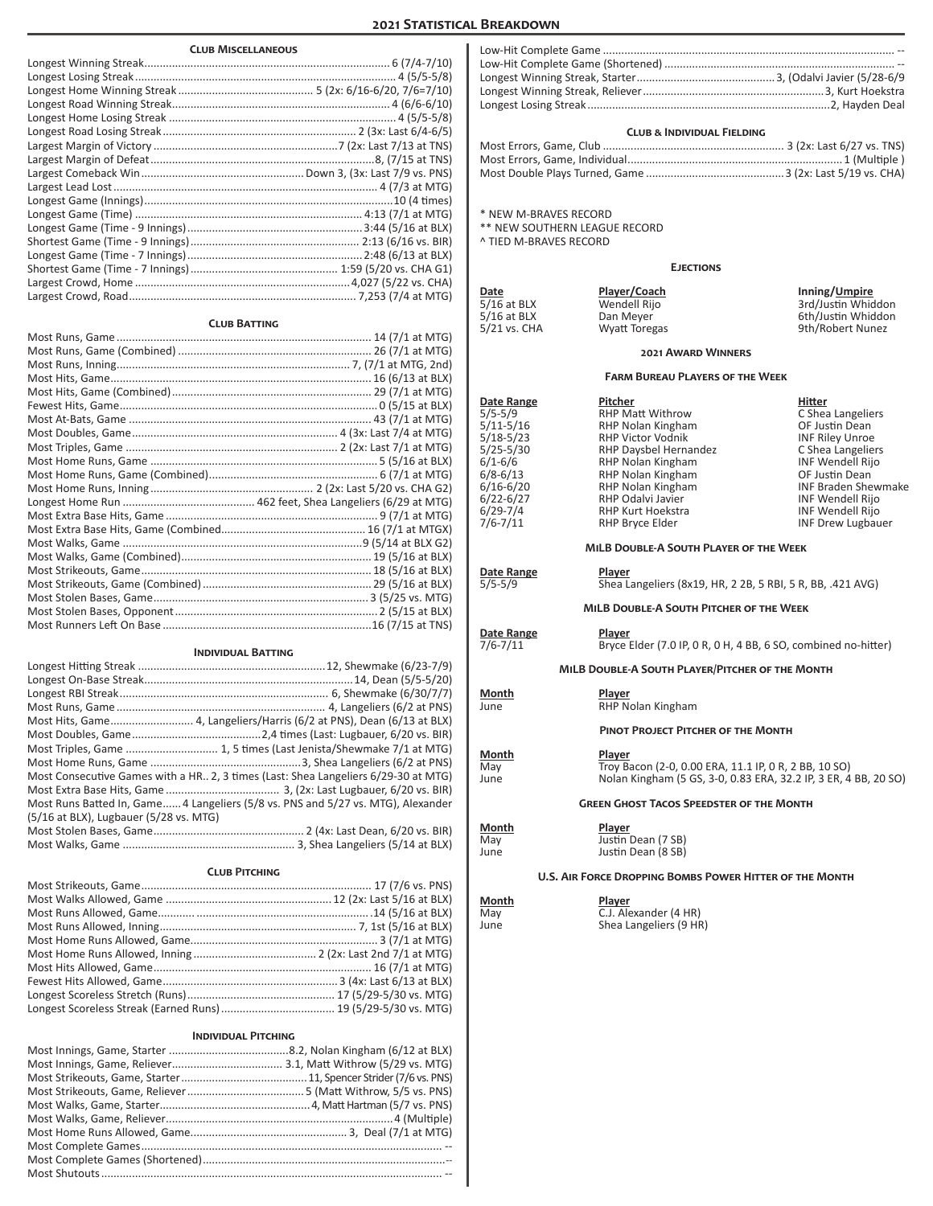### **2021 Statistical Breakdown**

| <b>CLUB MISCELLANEOUS</b>                                                          |  |
|------------------------------------------------------------------------------------|--|
|                                                                                    |  |
|                                                                                    |  |
|                                                                                    |  |
|                                                                                    |  |
|                                                                                    |  |
|                                                                                    |  |
|                                                                                    |  |
|                                                                                    |  |
|                                                                                    |  |
|                                                                                    |  |
|                                                                                    |  |
|                                                                                    |  |
|                                                                                    |  |
|                                                                                    |  |
|                                                                                    |  |
|                                                                                    |  |
|                                                                                    |  |
| <b>CLUB BATTING</b>                                                                |  |
|                                                                                    |  |
|                                                                                    |  |
|                                                                                    |  |
|                                                                                    |  |
|                                                                                    |  |
|                                                                                    |  |
|                                                                                    |  |
|                                                                                    |  |
|                                                                                    |  |
|                                                                                    |  |
|                                                                                    |  |
|                                                                                    |  |
|                                                                                    |  |
|                                                                                    |  |
|                                                                                    |  |
|                                                                                    |  |
|                                                                                    |  |
|                                                                                    |  |
|                                                                                    |  |
|                                                                                    |  |
|                                                                                    |  |
| <b>INDIVIDUAL BATTING</b>                                                          |  |
|                                                                                    |  |
|                                                                                    |  |
|                                                                                    |  |
|                                                                                    |  |
| Most Hits, Game 4, Langeliers/Harris (6/2 at PNS), Dean (6/13 at BLX)              |  |
|                                                                                    |  |
| Most Triples, Game  1, 5 times (Last Jenista/Shewmake 7/1 at MTG)                  |  |
|                                                                                    |  |
| Most Consecutive Games with a HR 2, 3 times (Last: Shea Langeliers 6/29-30 at MTG) |  |
|                                                                                    |  |
| Most Runs Batted In, Game 4 Langeliers (5/8 vs. PNS and 5/27 vs. MTG), Alexander   |  |
| (5/16 at BLX), Lugbauer (5/28 vs. MTG)                                             |  |
|                                                                                    |  |
|                                                                                    |  |
| <b>CLUB PITCHING</b>                                                               |  |
|                                                                                    |  |
|                                                                                    |  |
|                                                                                    |  |
|                                                                                    |  |
|                                                                                    |  |
|                                                                                    |  |
|                                                                                    |  |
|                                                                                    |  |
|                                                                                    |  |

#### **Individual Pitching**

Longest Scoreless Streak (Earned Runs)..................................... 19 (5/29-5/30 vs. MTG)

#### **Club & Individual Fielding**

\* NEW M-BRAVES RECORD

\*\* NEW SOUTHERN LEAGUE RECORD

^ TIED M-BRAVES RECORD

#### **Ejections**

**Date Player/Coach Inning/Umpire** 5/16 at BLX Dan Meyer 6th/Justin Whiddon

5/16 at BLX **Same Music Wendell Rijo** 3rd/Justin Whiddon<br>5/16 at BLX **Dan Meyer** 3rd/Justin Whiddon 9th/Robert Nunez

#### **2021 Award Winners**

#### **Farm Bureau Players of the Week**

**Date Range 19 Pitcher Pitcher Hitter Hitter Hitter Hitter Hitter Hitter Pitcher Pitcher C** Shea Langeliers 5/5-5/9 RHP Matt Withrow C Shea Langelie<br>5/11-5/16 RHP Nolan Kingham OF Justin Dean 5/11-5/16 RHP Nolan Kingham **COLOGIST CONTENT OF JUSTIN Dean**<br>5/18-5/23 RHP Victor Vodnik 5/18-5/23 RHP Victor Vodnik INF Riley Unroe<br>5/25-5/30 RHP Daysbel Hernandez C Shea Langeliers 5/25-5/30 RHP Daysbel Hernandez C Shea Langeliers 6/1-6/6 RHP Nolan Kingham INF Wendell Rijor (1986)<br>6/8-6/13 RHP Nolan Kingham Information CF Justin Dean 6/8-6/13 RHP Nolan Kingham CF Justin Dean<br>6/16-6/20 RHP Nolan Kingham NG INF Braden Shewmake 6/16-6/20 RHP Nolan Kingham INF Braden Shew<br>6/22-6/27 RHP Odalvi Javier Shewmake INF Wendell Rijo 6/22-6/27 RHP Odalvi Javier Channel Rijo Konstantinopolis INF Wendell Rijo 6/29-7/4 6/29-7/4<br>6/29-7/4 RHP Kurt Hoekstra<br>7/6-7/11 RHP Bryce Elder INF Drew Lugbauer **MiLB Double-A South Player of the Week Date Range Player**<br>5/5-5/9 Shea L Shea Langeliers (8x19, HR, 2 2B, 5 RBI, 5 R, BB, .421 AVG) **MiLB Double-A South Pitcher of the Week Date Range Player**<br> **Player**<br> **Player**<br> **Bryce EXALGE:**<br>Bryce Elder (7.0 IP, 0 R, 0 H, 4 BB, 6 SO, combined no-hitter) **MiLB Double-A South Player/Pitcher of the Month Month**<br>June **Player**<br>RHP No RHP Nolan Kingham

#### **Pinot Project Pitcher of the Month**

**Month Player**<br>
May **Troy Bay** May Troy Bacon (2-0, 0.00 ERA, 11.1 IP, 0 R, 2 BB, 10 SO)<br>June Nolan Kingham (5 GS, 3-0, 0.83 ERA, 32.2 IP, 3 ER, 4 Nolan Kingham (5 GS, 3-0, 0.83 ERA, 32.2 IP, 3 ER, 4 BB, 20 SO)

#### **Green Ghost Tacos Speedster of the Month**

**Month**<br>
May **Player**<br>
Justin I

May Justin Dean (7 SB)<br>June Justin Dean (8 SB) Justin Dean (8 SB)

#### **U.S. Air Force Dropping Bombs Power Hitter of the Month**

**Month**<br>May **C.J.** Ale

May C.J. Alexander (4 HR)<br>June Shea Langeliers (9 HR Shea Langeliers (9 HR)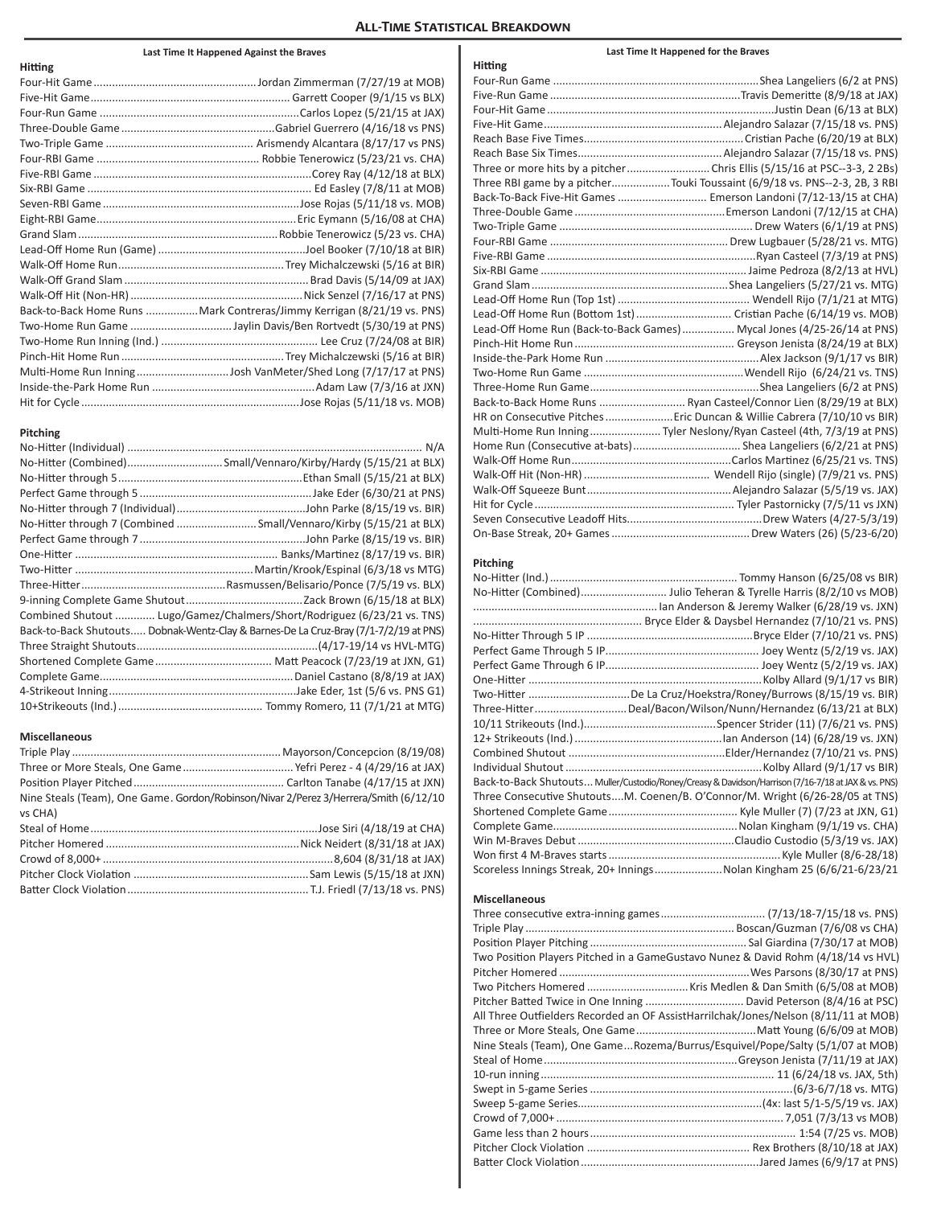### **All-Time Statistical Breakdown**

### **Last Time It Happened Against the Braves**

| <b>Hitting</b> |                                                                        |
|----------------|------------------------------------------------------------------------|
|                |                                                                        |
|                |                                                                        |
|                |                                                                        |
|                |                                                                        |
|                |                                                                        |
|                |                                                                        |
|                |                                                                        |
|                |                                                                        |
|                |                                                                        |
|                |                                                                        |
|                |                                                                        |
|                |                                                                        |
|                |                                                                        |
|                |                                                                        |
|                |                                                                        |
|                | Back-to-Back Home Runs Mark Contreras/Jimmy Kerrigan (8/21/19 vs. PNS) |
|                |                                                                        |
|                |                                                                        |
|                |                                                                        |
|                |                                                                        |
|                |                                                                        |
|                |                                                                        |
|                |                                                                        |

#### **Pitching**

| No-Hitter through 7 (Combined Small/Vennaro/Kirby (5/15/21 at BLX)                   |
|--------------------------------------------------------------------------------------|
|                                                                                      |
|                                                                                      |
|                                                                                      |
|                                                                                      |
|                                                                                      |
| Combined Shutout  Lugo/Gamez/Chalmers/Short/Rodriguez (6/23/21 vs. TNS)              |
| Back-to-Back Shutouts Dobnak-Wentz-Clay & Barnes-De La Cruz-Bray (7/1-7/2/19 at PNS) |
|                                                                                      |
|                                                                                      |
|                                                                                      |
|                                                                                      |
|                                                                                      |

### **Miscellaneous**

| Nine Steals (Team), One Game. Gordon/Robinson/Nivar 2/Perez 3/Herrera/Smith (6/12/10 |  |
|--------------------------------------------------------------------------------------|--|
| vs CHA)                                                                              |  |
|                                                                                      |  |
|                                                                                      |  |
|                                                                                      |  |
|                                                                                      |  |
|                                                                                      |  |

| Hitting |                                                                            |
|---------|----------------------------------------------------------------------------|
|         |                                                                            |
|         |                                                                            |
|         |                                                                            |
|         |                                                                            |
|         |                                                                            |
|         |                                                                            |
|         |                                                                            |
|         | Three RBI game by a pitcherTouki Toussaint (6/9/18 vs. PNS--2-3, 2B, 3 RBI |
|         | Back-To-Back Five-Hit Games  Emerson Landoni (7/12-13/15 at CHA)           |
|         |                                                                            |
|         |                                                                            |
|         |                                                                            |
|         |                                                                            |
|         |                                                                            |
|         |                                                                            |
|         |                                                                            |
|         | Lead-Off Home Run (Bottom 1st)  Cristian Pache (6/14/19 vs. MOB)           |
|         | Lead-Off Home Run (Back-to-Back Games)  Mycal Jones (4/25-26/14 at PNS)    |
|         |                                                                            |
|         |                                                                            |
|         |                                                                            |
|         |                                                                            |
|         | Back-to-Back Home Runs  Ryan Casteel/Connor Lien (8/29/19 at BLX)          |
|         | HR on Consecutive Pitches  Eric Duncan & Willie Cabrera (7/10/10 vs BIR)   |
|         | Multi-Home Run Inning Tyler Neslony/Ryan Casteel (4th, 7/3/19 at PNS)      |
|         |                                                                            |
|         |                                                                            |
|         |                                                                            |
|         |                                                                            |
|         |                                                                            |
|         |                                                                            |
|         |                                                                            |

**Last Time It Happened for the Braves**

### **Pitching**

| No-Hitter (Combined) Julio Teheran & Tyrelle Harris (8/2/10 vs MOB)                                 |
|-----------------------------------------------------------------------------------------------------|
|                                                                                                     |
|                                                                                                     |
|                                                                                                     |
|                                                                                                     |
|                                                                                                     |
|                                                                                                     |
| Two-Hitter De La Cruz/Hoekstra/Roney/Burrows (8/15/19 vs. BIR)                                      |
| Three-Hitter Deal/Bacon/Wilson/Nunn/Hernandez (6/13/21 at BLX)                                      |
|                                                                                                     |
|                                                                                                     |
|                                                                                                     |
|                                                                                                     |
| Back-to-Back Shutouts Muller/Custodio/Roney/Creasy & Davidson/Harrison (7/16-7/18 at JAX & vs. PNS) |
| Three Consecutive ShutoutsM. Coenen/B. O'Connor/M. Wright (6/26-28/05 at TNS)                       |
|                                                                                                     |
|                                                                                                     |
|                                                                                                     |
|                                                                                                     |
| Scoreless Innings Streak, 20+ InningsNolan Kingham 25 (6/6/21-6/23/21                               |

### **Miscellaneous**

| Two Position Players Pitched in a GameGustavo Nunez & David Rohm (4/18/14 vs HVL)   |  |
|-------------------------------------------------------------------------------------|--|
|                                                                                     |  |
|                                                                                     |  |
|                                                                                     |  |
| All Three Outfielders Recorded an OF AssistHarrilchak/Jones/Nelson (8/11/11 at MOB) |  |
|                                                                                     |  |
| Nine Steals (Team), One GameRozema/Burrus/Esquivel/Pope/Salty (5/1/07 at MOB)       |  |
|                                                                                     |  |
|                                                                                     |  |
|                                                                                     |  |
|                                                                                     |  |
|                                                                                     |  |
|                                                                                     |  |
|                                                                                     |  |
|                                                                                     |  |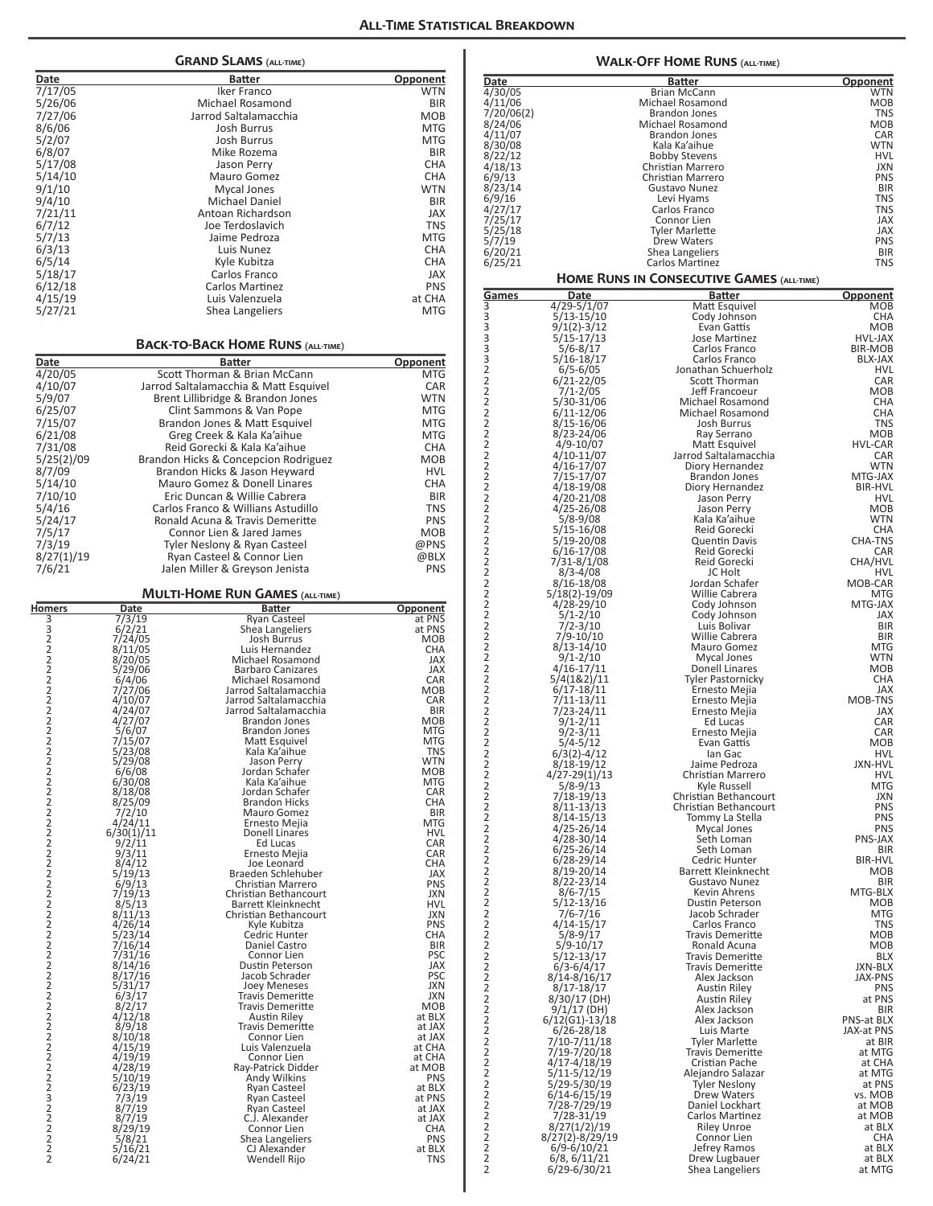|                                                   |                              |                                                                       | <b>ALL-TIME STATIS</b>   |
|---------------------------------------------------|------------------------------|-----------------------------------------------------------------------|--------------------------|
|                                                   |                              | <b>GRAND SLAMS (ALL-TIME)</b>                                         |                          |
| Date                                              |                              | <b>Batter</b>                                                         | <u>Opponent</u>          |
| 7/17/05                                           |                              | Iker Franco                                                           | WTN                      |
| 5/26/06                                           |                              | Michael Rosamond                                                      | <b>BIR</b>               |
| 7/27/06<br>8/6/06                                 |                              | Jarrod Saltalamacchia<br><b>Josh Burrus</b>                           | <b>MOB</b><br><b>MTG</b> |
| 5/2/07                                            |                              | <b>Josh Burrus</b>                                                    | <b>MTG</b>               |
| 6/8/07                                            |                              | Mike Rozema                                                           | <b>BIR</b>               |
| 5/17/08                                           |                              | Jason Perry                                                           | <b>CHA</b>               |
| 5/14/10<br>9/1/10                                 |                              | Mauro Gomez<br><b>Mycal Jones</b>                                     | <b>CHA</b><br><b>WTN</b> |
| 9/4/10                                            |                              | Michael Daniel                                                        | <b>BIR</b>               |
| 7/21/11                                           |                              | Antoan Richardson                                                     | <b>JAX</b>               |
| 6/7/12                                            |                              | Joe Terdoslavich                                                      | <b>TNS</b>               |
| 5/7/13<br>6/3/13                                  |                              | Jaime Pedroza<br>Luis Nunez                                           | <b>MTG</b><br><b>CHA</b> |
| 6/5/14                                            |                              | Kyle Kubitza                                                          | <b>CHA</b>               |
| 5/18/17                                           |                              | Carlos Franco                                                         | <b>JAX</b>               |
| 6/12/18                                           |                              | Carlos Martinez                                                       | <b>PNS</b>               |
| 4/15/19<br>5/27/21                                |                              | Luis Valenzuela<br>Shea Langeliers                                    | at CHA<br><b>MTG</b>     |
|                                                   |                              |                                                                       |                          |
|                                                   |                              | <b>BACK-TO-BACK HOME RUNS (ALL-TIME)</b>                              |                          |
| Date                                              |                              | <b>Batter</b>                                                         | Opponent                 |
| 4/20/05<br>4/10/07                                |                              | Scott Thorman & Brian McCann<br>Jarrod Saltalamacchia & Matt Esquivel | <b>MTG</b><br>CAR        |
| 5/9/07                                            |                              | Brent Lillibridge & Brandon Jones                                     | <b>WTN</b>               |
| 6/25/07                                           |                              | Clint Sammons & Van Pope                                              | <b>MTG</b>               |
| 7/15/07                                           |                              | Brandon Jones & Matt Esquivel                                         | <b>MTG</b>               |
| 6/21/08                                           |                              | Greg Creek & Kala Ka'aihue<br>Reid Gorecki & Kala Ka'aihue            | <b>MTG</b>               |
| 7/31/08<br>5/25(2)/09                             |                              | Brandon Hicks & Concepcion Rodriguez                                  | <b>CHA</b><br><b>MOB</b> |
| 8/7/09                                            |                              | Brandon Hicks & Jason Heyward                                         | <b>HVL</b>               |
| 5/14/10                                           |                              | Mauro Gomez & Donell Linares                                          | <b>CHA</b>               |
| 7/10/10                                           |                              | Eric Duncan & Willie Cabrera                                          | <b>BIR</b>               |
| 5/4/16<br>5/24/17                                 |                              | Carlos Franco & Willians Astudillo<br>Ronald Acuna & Travis Demeritte | <b>TNS</b><br><b>PNS</b> |
| 7/5/17                                            |                              | Connor Lien & Jared James                                             | <b>MOB</b>               |
| 7/3/19                                            |                              | Tyler Neslony & Ryan Casteel                                          | @PNS                     |
| 8/27(1)/19                                        |                              | Ryan Casteel & Connor Lien                                            | @BLX<br><b>PNS</b>       |
| 7/6/21                                            |                              | Jalen Miller & Greyson Jenista                                        |                          |
| Homers                                            | Date                         | <b>MULTI-HOME RUN GAMES (ALL-TIME)</b><br><b>Batter</b>               | Opponent                 |
| 33222222                                          | 7/3/19                       | Ryan Casteel                                                          | at PNS                   |
|                                                   | 6/2/21<br>7/24/05            | Shea Langeliers<br>Josh Burrus                                        | at PNS<br><b>MOB</b>     |
|                                                   | 8/11/05                      | Luis Hernandez<br>Michael Rosamond                                    | CHA                      |
|                                                   | 8/20/05<br>5/29/06<br>6/4/06 | <b>Barbaro Canizares</b>                                              | JAX<br>JAX               |
|                                                   | 7/27/06                      | Michael Rosamond<br>Jarrod Saltalamacchia                             | CAR<br>MOB               |
| $\overline{2}$                                    | 4/10/07                      | Jarrod Saltalamacchia                                                 | CAR                      |
| 2<br>2                                            | 4/24/07                      | Jarrod Saltalamacchia                                                 | BIR                      |
| 2                                                 | 4/27/07<br>5/6/07            | Brandon Jones<br><b>Brandon Jones</b>                                 | MOB<br>MTG               |
| $\overline{2}$<br>$\overline{c}$                  | 7/15/07                      | Matt Esquivel                                                         | MTG                      |
| 2                                                 | 5/23/08<br>5/29/08           | Kala Ka'aihue<br>Jason Perry                                          | TNS<br>WTN               |
| $\overline{2}$                                    | 6/6/08                       | Jordan Schafer                                                        | MOB                      |
| $\overline{\mathbf{c}}$                           | 6/30/08<br>8/18/08           | Kala Ka'aihue<br>Jordan Schafer                                       | MTG<br>CAR               |
| $\begin{array}{c}\n2 \\ 2 \\ 2 \\ 2\n\end{array}$ | 8/25/09                      | <b>Brandon Hicks</b>                                                  | CHA                      |
|                                                   | 7/2/10<br>4/24/11            | Mauro Gomez<br>Ernesto Mejia                                          | <b>BIR</b><br><b>MTG</b> |
| 2                                                 | 6/30(1)/11                   | Donell Linares                                                        | HVL                      |
| 2<br>2                                            | 9/2/11<br>9/3/11             | Ed Lucas<br>Ernesto Mejia                                             | <b>CAR</b><br>CAR        |
| 2                                                 | 8/4/12                       | Joe Leonard                                                           | CHA                      |
| 2                                                 | 5/19/13<br>6/9/13            | Braeden Schlehuber<br>Christian Marrero                               | JAX<br><b>PNS</b>        |
| $\frac{2}{2}$                                     | 7/19/13                      | Christian Bethancourt                                                 | JXN                      |
| $\overline{2}$<br>2                               | 8/5/13<br>8/11/13            | Barrett Kleinknecht<br>Christian Bethancourt                          | HVL<br>JXN               |
| $\overline{2}$                                    | 4/26/14                      | Kyle Kubitza                                                          | <b>PNS</b>               |
| 2<br>$\overline{2}$                               | 5/23/14<br>7/16/14           | Cedric Hunter<br>Daniel Castro                                        | CHA<br><b>BIR</b>        |
| $\frac{2}{2}$                                     | 7/31/16                      | Connor Lien                                                           | PSC                      |
| 2                                                 | 8/14/16<br>8/17/16           | Dustin Peterson<br>Jacob Schrader                                     | JAX<br><b>PSC</b>        |
| 2                                                 | 5/31/17                      | <b>Joey Meneses</b>                                                   | JXN                      |
| 2<br>2                                            | 6/3/17<br>8/2/17             | Travis Demeritte<br>Travis Demeritte                                  | JXN<br>MOB               |
| 2                                                 | 4/12/18                      | Austin Riley                                                          | at BLX                   |
| 2<br>2                                            | 8/9/18<br>8/10/18            | Travis Demeritte<br>Connor Lien                                       | at JAX<br>at JAX         |
| 2                                                 | 4/15/19                      | Luis Valenzuela                                                       | at CHA                   |
|                                                   | 4/19/19<br>4/28/19           | Connor Lien<br>Ray-Patrick Didder                                     | at CHA<br>at MOB         |
|                                                   | 5/10/19                      | Andy Wilkins                                                          | <b>PNS</b>               |
|                                                   | 6/23/19<br>7/3/19            | Ryan Casteel<br>Ryan Casteel                                          | at BLX<br>at PNS         |
|                                                   | 8/7/19<br>8/7/19             | <b>Ryan Casteel</b>                                                   | at JAX                   |
| 2223222                                           | 8/29/19                      | C.J. Alexander<br>Connor Lien                                         | at JAX<br>CHA            |
| 2                                                 | 5/8/21                       | Shea Langeliers                                                       | PNS                      |
| 2<br>2                                            | 5/16/21<br>6/24/21           | CJ Alexander<br>Wendell Rijo                                          | at BLX<br>TNS            |
|                                                   |                              |                                                                       |                          |

| <b>WALK-OFF HOME RUNS</b> (all-time) |                                       |                                                    |                          |  |
|--------------------------------------|---------------------------------------|----------------------------------------------------|--------------------------|--|
| Date                                 |                                       | Batter                                             | Opponent                 |  |
| 4/30/05<br>4/11/06                   |                                       | <b>Brian McCann</b><br>Michael Rosamond            | WTN<br>MOB               |  |
| 7/20/06(2)                           |                                       | <b>Brandon Jones</b>                               | TNS                      |  |
| 8/24/06                              |                                       | Michael Rosamond                                   | MOB                      |  |
| 4/11/07                              |                                       | <b>Brandon Jones</b>                               | CAR                      |  |
| 8/30/08<br>8/22/12                   |                                       | Kala Ka'aihue<br><b>Bobby Stevens</b>              | <b>WTN</b><br>HVL        |  |
| 4/18/13                              |                                       | Christian Marrero                                  | JXN                      |  |
| 6/9/13                               |                                       | Christian Marrero                                  | <b>PNS</b>               |  |
| 8/23/14<br>6/9/16                    |                                       | Gustavo Nunez<br>Levi Hyams                        | <b>BIR</b><br><b>TNS</b> |  |
| 4/27/17                              |                                       | Carlos Franco                                      | <b>TNS</b>               |  |
| 7/25/17                              |                                       | Connor Lien                                        | JAX                      |  |
| 5/25/18<br>5/7/19                    |                                       | Tyler Marlette<br><b>Drew Waters</b>               | JAX<br><b>PNS</b>        |  |
| 6/20/21                              |                                       | Shea Langeliers                                    | <b>BIR</b>               |  |
| 6/25/21                              |                                       | Carlos Martinez                                    | TNS                      |  |
|                                      |                                       | HOME RUNS IN CONSECUTIVE GAMES (ALL-TIME)          |                          |  |
| Games<br>3                           | Date<br>$\frac{4}{29-5}/\frac{1}{07}$ | Batter<br>Matt Esquivel                            | <u>Opponent</u><br>MOB   |  |
| 3                                    | $5/13 - 15/10$                        | Cody Johnson                                       | CHA                      |  |
| 3<br>3                               | $9/1(2)-3/12$<br>5/15-17/13           | Evan Gattis<br>Jose Martinez                       | <b>MOB</b><br>HVL-JAX    |  |
| 3                                    | $5/6 - 8/17$                          | Carlos Franco                                      | BIR-MOB                  |  |
| 3                                    | 5/16-18/17                            | Carlos Franco                                      | BLX-JAX                  |  |
| 2<br>2                               | $6/5 - 6/05$                          | Jonathan Schuerholz<br>Scott Thorman               | HVL<br>CAR               |  |
| 2                                    | 6/21-22/05<br>7/1-2/05                | Jeff Francoeur                                     | MOB                      |  |
| 2                                    | 5/30-31/06                            | Michael Rosamond                                   | CHA                      |  |
| 2<br>2                               | 6/11-12/06<br>8/15-16/06              | Michael Rosamond<br>Josh Burrus                    | CHA<br>TNS               |  |
| 2                                    | 8/23-24/06                            | Ray Serrano                                        | MOB                      |  |
| 2                                    | $4/9 - 10/07$                         | Matt Esquivel                                      | HVL-CAR                  |  |
| 2<br>2                               | 4/10-11/07<br>4/16-17/07              | Jarrod Saltalamacchia<br>Diory Hernandez           | CAR<br><b>WTN</b>        |  |
| 2                                    | 7/15-17/07                            | <b>Brandon Jones</b>                               | MTG-JAX                  |  |
| 2                                    | 4/18-19/08                            | Diory Hernandez                                    | BIR-HVL                  |  |
| 2<br>2                               | 4/20-21/08<br>$4/25 - 26/08$          | Jason Perry<br>Jason Perry                         | HVL<br>MOB               |  |
| 2                                    | 5/8-9/08                              | Kala Ka'aihue                                      | <b>WTN</b>               |  |
| 2<br>2                               | 5/15-16/08<br>5/19-20/08              | Reid Gorecki<br>Quentin Davis                      | CHA<br><b>CHA-TNS</b>    |  |
| 2                                    | 6/16-17/08                            | Reid Gorecki                                       | CAR                      |  |
| 2<br>2                               | 7/31-8/1/08<br>$8/3 - 4/08$           | Reid Gorecki<br><b>JC Holt</b>                     | CHA/HVL<br>HVL           |  |
| $\overline{c}$                       | 8/16-18/08                            | Jordan Schafer                                     | MOB-CAR                  |  |
| 2                                    | 5/18(2)-19/09                         | Willie Cabrera                                     | <b>MTG</b>               |  |
| 2<br>2                               | 4/28-29/10<br>5/1-2/10                | Cody Johnson<br>Cody Johnson                       | MTG-JAX<br>JAX           |  |
| 2                                    | $7/2 - 3/10$                          | Luis Bolivar                                       | <b>BIR</b>               |  |
| 2<br>2                               | 7/9-10/10<br>8/13-14/10               | Willie Cabrera<br>Mauro Gomez                      | BIR<br>MTG               |  |
| 2                                    | $9/1 - 2/10$                          | Mycal Jones                                        | <b>WTN</b>               |  |
| 2<br>2                               | 4/16-17/11<br>5/4(1&2)/11             | Donell Linares<br>Tyler Pastornicky                | MOB<br>CHA               |  |
| $\frac{2}{2}$                        | 6/17-18/11                            | Ernesto Mejia                                      | <b>JAX</b>               |  |
| $\overline{c}$                       | 7/11-13/11<br>7/23-24/11              | Ernesto Mejia<br>Ernesto Mejia                     | MOB-TNS<br>JAX           |  |
| 2                                    | $9/1 - 2/11$                          | Ed Lucas                                           | CAR                      |  |
| 2                                    | 9/2-3/11                              | Ernesto Mejia                                      | CAR                      |  |
| $\overline{c}$                       | $5/4 - 5/12$<br>$6/3(2)-4/12$         | Evan Gattis<br>lan Gac                             | <b>MOB</b><br>HVL        |  |
| 2<br>2                               | $8/18 - 19/12$                        | Jaime Pedroza                                      | JXN-HVL                  |  |
| 2<br>2                               | 4/27-29(1)/13<br>$5/8 - 9/13$         | Christian Marrero<br>Kyle Russell                  | HVL<br>MTG               |  |
| 2                                    | 7/18-19/13                            | Christian Bethancourt                              | JXN                      |  |
| 2<br>$\frac{2}{\pi}$                 | $8/11 - 13/13$                        | Christian Bethancourt<br>Tommy La Stella           | <b>PNS</b><br><b>PNS</b> |  |
| 2                                    | $8/14 - 15/13$<br>$4/25 - 26/14$      | Mycal Jones                                        | <b>PNS</b>               |  |
| 2                                    | 4/28-30/14                            | Seth Loman                                         | PNS-JAX                  |  |
| 2<br>2                               | $6/25 - 26/14$<br>6/28-29/14          | Seth Loman<br>Cedric Hunter                        | BIR<br><b>BIR-HVL</b>    |  |
| 2                                    | 8/19-20/14                            | <b>Barrett Kleinknecht</b>                         | <b>MOB</b>               |  |
| 2<br>2                               | 8/22-23/14<br>$8/6 - 7/15$            | Gustavo Nunez<br>Kevin Ahrens                      | <b>BIR</b><br>MTG-BLX    |  |
| 2                                    | 5/12-13/16                            | Dustin Peterson                                    | MOB                      |  |
| 2<br>2                               | 7/6-7/16<br>4/14-15/17                | Jacob Schrader<br>Carlos Franco                    | <b>MTG</b><br>TNS        |  |
| 2                                    | $5/8 - 9/17$                          | <b>Travis Demeritte</b>                            | MOB                      |  |
| 2                                    | $5/9 - 10/17$                         | Ronald Acuna                                       | MOB                      |  |
| 2<br>2                               | 5/12-13/17<br>6/3-6/4/17              | <b>Travis Demeritte</b><br><b>Travis Demeritte</b> | <b>BLX</b><br>JXN-BLX    |  |
| 2                                    | 8/14-8/16/17                          | Alex Jackson                                       | JAX-PNS                  |  |
| 2<br>2                               | 8/17-18/17<br>8/30/17 (DH)            | Austin Riley<br>Austin Riley                       | <b>PNS</b><br>at PNS     |  |
| 2                                    | $9/1/17$ (DH)                         | Alex Jackson                                       | <b>BIR</b>               |  |
| 2<br>2                               | 6/12(G1)-13/18<br>6/26-28/18          | Alex Jackson<br>Luis Marte                         | PNS-at BLX<br>JAX-at PNS |  |
| 2                                    | 7/10-7/11/18                          | <b>Tyler Marlette</b>                              | at BIR                   |  |
| 2<br>2                               | 7/19-7/20/18                          | <b>Travis Demeritte</b><br>Cristian Pache          | at MTG<br>at CHA         |  |
| 2<br>2                               | 4/17-4/18/19<br>5/11-5/12/19          | Alejandro Salazar                                  | at MTG                   |  |
| 2                                    | 5/29-5/30/19<br>6/14-6/15/19          | <b>Tyler Neslony</b><br>Drew Waters                | at PNS<br>vs. MOB        |  |
| 2                                    | 7/28-7/29/19                          | Daniel Lockhart                                    | at MOB                   |  |
| 2                                    | 7/28-31/19                            | Carlos Martinez                                    | at MOB                   |  |
| 2                                    | 8/27(1/2)/19<br>8/27(2)-8/29/19       | <b>Riley Unroe</b><br>Connor Lien                  | at BLX<br>CHA            |  |
| $\frac{2}{2}$                        | 6/9-6/10/21                           | Jefrey Ramos                                       | at BLX                   |  |
| 2<br>2                               | 6/8, 6/11/21<br>6/29-6/30/21          | Drew Lugbauer<br>Shea Langeliers                   | at BLX<br>at MTG         |  |
|                                      |                                       |                                                    |                          |  |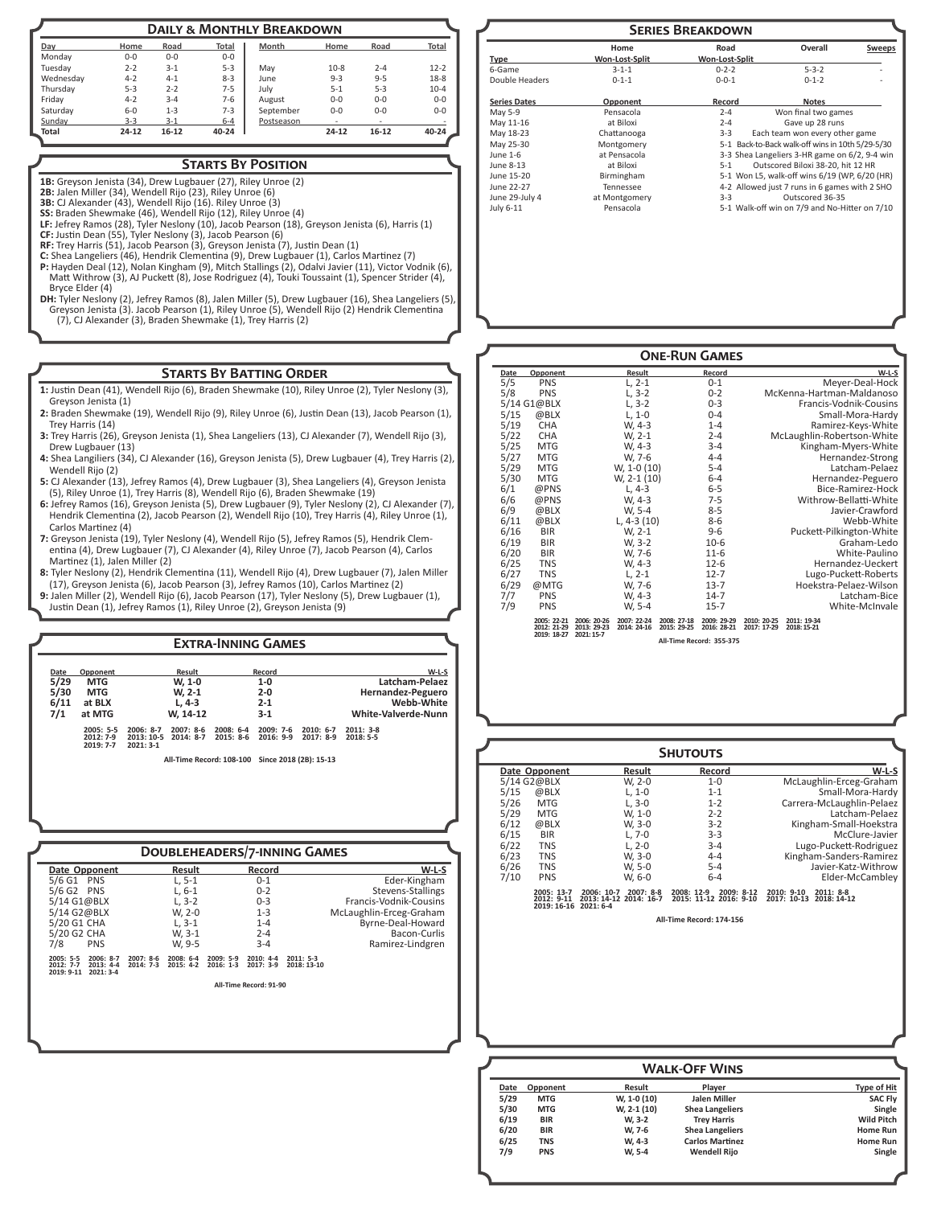| <b>DAILY &amp; MONTHLY BREAKDOWN</b> |         |           |         |            |         |                          |          |
|--------------------------------------|---------|-----------|---------|------------|---------|--------------------------|----------|
| Day                                  | Home    | Road      | Total   | Month      | Home    | Road                     | Total    |
| Mondav                               | $0 - 0$ | $0 - 0$   | $0 - 0$ |            |         |                          |          |
| Tuesdav                              | $2 - 2$ | $3 - 1$   | $5-3$   | May        | $10-8$  | $2 - 4$                  | $12 - 2$ |
| Wednesday                            | $4 - 2$ | $4 - 1$   | $8 - 3$ | June       | $9 - 3$ | $9 - 5$                  | $18-8$   |
| Thursday                             | $5 - 3$ | $2 - 2$   | $7 - 5$ | July       | $5 - 1$ | $5 - 3$                  | $10 - 4$ |
| Fridav                               | $4 - 2$ | $3 - 4$   | $7-6$   | August     | $0-0$   | $0 - 0$                  | $0 - 0$  |
| Saturday                             | $6 - 0$ | $1 - 3$   | $7 - 3$ | September  | $0 - 0$ | $0 - 0$                  | $0 - 0$  |
| Sunday                               | $3 - 3$ | $3 - 1$   | $6 - 4$ | Postseason |         | $\overline{\phantom{a}}$ |          |
| Total                                | 24-12   | $16 - 12$ | 40-24   |            | 24-12   | $16-12$                  | 40-24    |

### **Starts By Position**

**1B:** Greyson Jenista (34), Drew Lugbauer (27), Riley Unroe (2)

**2B:** Jalen Miller (34), Wendell Rijo (23), Riley Unroe (6)

**3B:** CJ Alexander (43), Wendell Rijo (16). Riley Unroe (3) **SS:** Braden Shewmake (46), Wendell Rijo (12), Riley Unroe (4)

**LF:** Jefrey Ramos (28), Tyler Neslony (10), Jacob Pearson (18), Greyson Jenista (6), Harris (1)

**CF:** Justin Dean (55), Tyler Neslony (3), Jacob Pearson (6) **RF:** Trey Harris (51), Jacob Pearson (3), Greyson Jenista (7), Justin Dean (1)

- **C:** Shea Langeliers (46), Hendrik Clementina (9), Drew Lugbauer (1), Carlos Martinez (7) **P:** Hayden Deal (12), Nolan Kingham (9), Mitch Stallings (2), Odalvi Javier (11), Victor Vodnik (6), Matt Withrow (3), AJ Puckett (8), Jose Rodriguez (4), Touki Toussaint (1), Spencer Strider (4), Bryce Elder (4)
- **DH:** Tyler Neslony (2), Jefrey Ramos (8), Jalen Miller (5), Drew Lugbauer (16), Shea Langeliers (5), Greyson Jenista (3). Jacob Pearson (1), Riley Unroe (5), Wendell Rijo (2) Hendrik Clementina (7), CJ Alexander (3), Braden Shewmake (1), Trey Harris (2)

### **Starts By Batting Order**

- **1:** Justin Dean (41), Wendell Rijo (6), Braden Shewmake (10), Riley Unroe (2), Tyler Neslony (3), Greyson Jenista (1)
- **2:** Braden Shewmake (19), Wendell Rijo (9), Riley Unroe (6), Justin Dean (13), Jacob Pearson (1), Trey Harris (14)
- **3:** Trey Harris (26), Greyson Jenista (1), Shea Langeliers (13), CJ Alexander (7), Wendell Rijo (3), Drew Lugbauer (13)
- **4:** Shea Langiliers (34), CJ Alexander (16), Greyson Jenista (5), Drew Lugbauer (4), Trey Harris (2), Wendell Rijo (2)
- **5:** CJ Alexander (13), Jefrey Ramos (4), Drew Lugbauer (3), Shea Langeliers (4), Greyson Jenista (5), Riley Unroe (1), Trey Harris (8), Wendell Rijo (6), Braden Shewmake (19)
- **6:** Jefrey Ramos (16), Greyson Jenista (5), Drew Lugbauer (9), Tyler Neslony (2), CJ Alexander (7), Hendrik Clementina (2), Jacob Pearson (2), Wendell Rijo (10), Trey Harris (4), Riley Unroe (1), Carlos Martinez (4)
- **7:** Greyson Jenista (19), Tyler Neslony (4), Wendell Rijo (5), Jefrey Ramos (5), Hendrik Clementina (4), Drew Lugbauer (7), CJ Alexander (4), Riley Unroe (7), Jacob Pearson (4), Carlos Martinez (1), Jalen Miller (2)
- **8:** Tyler Neslony (2), Hendrik Clementina (11), Wendell Rijo (4), Drew Lugbauer (7), Jalen Miller (17), Greyson Jenista (6), Jacob Pearson (3), Jefrey Ramos (10), Carlos Martinez (2)
- **9:** Jalen Miller (2), Wendell Rijo (6), Jacob Pearson (17), Tyler Neslony (5), Drew Lugbauer (1),
- Justin Dean (1), Jefrey Ramos (1), Riley Unroe (2), Greyson Jenista (9)

**Date Opponent Result Record W-L-S 5/29 MTG W, 1-0 1-0 Latcham-Pelaez 5/30 MTG W, 2-1 2-0 Hernandez-Peguero 6/11 at BLX L, 4-3 2-1 Webb-White 7/1 at MTG W, 14-12 3-1 White-Valverde-Nunn 2005: 5-5 2006: 8-7 2007: 8-6 2008: 6-4 2009: 7-6 2010: 6-7 2011: 3-8 2012: 7-9 2013: 10-5 2014: 8-7 2015: 8-6 2016: 9-9 2017: 8-9 2018: 5-5** 2005: 5-5 2006: 8-7<br>2012: 7-9 2013: 10-5<br>2019: 7-7 2021: 3-1 **All-Time Record: 108-100 Since 2018 (2B): 15-13 Extra-Inning Games**

### **Doubleheaders/7-inning Games**

| Date Opponent                                                                    | Result                                                | Record                                                 |                            | W-L-S                   |
|----------------------------------------------------------------------------------|-------------------------------------------------------|--------------------------------------------------------|----------------------------|-------------------------|
| 5/6 G1 PNS                                                                       | L, 5-1                                                | $0 - 1$                                                |                            | Eder-Kingham            |
| 5/6 G2 PNS                                                                       | $L, 6-1$                                              | $0 - 2$                                                |                            | Stevens-Stallings       |
| 5/14 G1@BLX                                                                      | $L, 3-2$                                              | $0 - 3$                                                |                            | Francis-Vodnik-Cousins  |
| 5/14 G2@BLX                                                                      | W, 2-0                                                | $1 - 3$                                                |                            | McLaughlin-Erceg-Graham |
| 5/20 G1 CHA                                                                      | $L.3-1$                                               | $1 - 4$                                                |                            | Byrne-Deal-Howard       |
| 5/20 G2 CHA                                                                      | W, 3-1                                                | $2 - 4$                                                |                            | Bacon-Curlis            |
| 7/8<br><b>PNS</b>                                                                | W. 9-5                                                | $3 - 4$                                                |                            | Ramirez-Lindgren        |
| 2005: 5-5<br>$2006: 8-7$<br>2012: 7-7<br>$2013: 4-4$<br>2019: 9-11<br>$2021:3-4$ | 2007: 8-6<br>$2008: 6-4$<br>$2015: 4-2$<br>$2014:7-3$ | $2009:5-9$<br>$2010: 4-4$<br>$2016: 1-3$<br>$2017:3-9$ | $2011: 5-3$<br>2018: 13-10 |                         |
|                                                                                  |                                                       | All-Time Record: 91-90                                 |                            |                         |

| <b>SERIES BREAKDOWN</b> |                |                |                                                  |               |  |  |  |  |
|-------------------------|----------------|----------------|--------------------------------------------------|---------------|--|--|--|--|
|                         | Home           | Road           | Overall                                          | <b>Sweeps</b> |  |  |  |  |
| <b>Type</b>             | Won-Lost-Split | Won-Lost-Split |                                                  |               |  |  |  |  |
| 6-Game                  | $3 - 1 - 1$    | $0 - 2 - 2$    | $5 - 3 - 2$                                      |               |  |  |  |  |
| Double Headers          | $0 - 1 - 1$    | $0 - 0 - 1$    | $0 - 1 - 2$                                      |               |  |  |  |  |
| <b>Series Dates</b>     | Opponent       | Record         | <b>Notes</b>                                     |               |  |  |  |  |
| May 5-9                 | Pensacola      | $2 - 4$        | Won final two games                              |               |  |  |  |  |
| May 11-16               | at Biloxi      | $2 - 4$        | Gave up 28 runs                                  |               |  |  |  |  |
| May 18-23               | Chattanooga    | $3 - 3$        | Each team won every other game                   |               |  |  |  |  |
| May 25-30               | Montgomery     |                | 5-1 Back-to-Back walk-off wins in 10th 5/29-5/30 |               |  |  |  |  |
| June 1-6                | at Pensacola   |                | 3-3 Shea Langeliers 3-HR game on 6/2, 9-4 win    |               |  |  |  |  |
| June 8-13               | at Biloxi      | $5-1$          | Outscored Biloxi 38-20, hit 12 HR                |               |  |  |  |  |
| June 15-20              | Birmingham     |                | 5-1 Won L5, walk-off wins 6/19 (WP, 6/20 (HR)    |               |  |  |  |  |
| June 22-27              | Tennessee      |                | 4-2 Allowed just 7 runs in 6 games with 2 SHO    |               |  |  |  |  |
| June 29-July 4          | at Montgomery  | $3 - 3$        | Outscored 36-35                                  |               |  |  |  |  |
| July 6-11               | Pensacola      |                | 5-1 Walk-off win on 7/9 and No-Hitter on 7/10    |               |  |  |  |  |

| <b>ONE-RUN GAMES</b>                                  |                                                          |                            |                           |                            |                            |                            |                            |  |
|-------------------------------------------------------|----------------------------------------------------------|----------------------------|---------------------------|----------------------------|----------------------------|----------------------------|----------------------------|--|
| Date<br>Opponent                                      |                                                          | Result                     |                           | Record                     |                            |                            | $W-L-S$                    |  |
| 5/5<br><b>PNS</b>                                     |                                                          | $L, 2-1$                   |                           | $0 - 1$                    |                            |                            | Meyer-Deal-Hock            |  |
| 5/8<br><b>PNS</b>                                     |                                                          | $L, 3-2$                   |                           | $0 - 2$                    | McKenna-Hartman-Maldanoso  |                            |                            |  |
| 5/14 G1@BLX                                           |                                                          | $L, 3-2$                   |                           | $0 - 3$                    |                            |                            | Francis-Vodnik-Cousins     |  |
| 5/15                                                  | @BLX                                                     | $L, 1-0$                   |                           | $0 - 4$                    |                            |                            | Small-Mora-Hardy           |  |
| 5/19<br><b>CHA</b>                                    |                                                          | W, 4-3                     |                           | $1 - 4$                    |                            |                            | Ramirez-Keys-White         |  |
| 5/22<br><b>CHA</b>                                    |                                                          | W, 2-1                     |                           | $2 - 4$                    |                            |                            | McLaughlin-Robertson-White |  |
| 5/25<br><b>MTG</b>                                    |                                                          | W, 4-3                     |                           | $3 - 4$                    |                            |                            | Kingham-Myers-White        |  |
| 5/27<br><b>MTG</b>                                    |                                                          | W, 7-6                     |                           | $4 - 4$                    |                            |                            | Hernandez-Strong           |  |
| 5/29<br><b>MTG</b>                                    |                                                          | W, 1-0 (10)                |                           | $5 - 4$                    |                            |                            | Latcham-Pelaez             |  |
| 5/30<br><b>MTG</b>                                    |                                                          | W, 2-1 (10)                |                           | $6 - 4$                    | Hernandez-Peguero          |                            |                            |  |
| 6/1                                                   | @PNS                                                     | $L, 4-3$                   |                           | $6 - 5$                    |                            |                            | Bice-Ramirez-Hock          |  |
| 6/6<br>@PNS                                           |                                                          | W, 4-3                     |                           | $7 - 5$                    |                            |                            | Withrow-Bellatti-White     |  |
| 6/9                                                   | @BLX                                                     | W, 5-4                     |                           | $8 - 5$                    |                            |                            | Javier-Crawford            |  |
| 6/11                                                  | @BLX                                                     | L, $4-3(10)$               |                           | $8 - 6$                    | Webb-White                 |                            |                            |  |
| 6/16<br><b>BIR</b>                                    |                                                          | W, 2-1                     |                           | $9 - 6$                    |                            |                            | Puckett-Pilkington-White   |  |
| 6/19<br><b>BIR</b>                                    |                                                          | W, 3-2                     |                           | $10-6$                     |                            | Graham-Ledo                |                            |  |
| 6/20<br><b>BIR</b>                                    |                                                          | W, 7-6                     |                           | $11 - 6$                   |                            |                            | White-Paulino              |  |
| 6/25<br><b>TNS</b>                                    |                                                          | W, 4-3                     |                           | $12 - 6$                   |                            |                            | Hernandez-Ueckert          |  |
| 6/27<br><b>TNS</b>                                    |                                                          | $L, 2-1$                   |                           | $12 - 7$                   | Lugo-Puckett-Roberts       |                            |                            |  |
| 6/29<br>@MTG                                          |                                                          | W, 7-6                     |                           | $13 - 7$                   | Hoekstra-Pelaez-Wilson     |                            |                            |  |
| 7/7<br><b>PNS</b>                                     |                                                          | W, 4-3                     |                           | $14-7$                     |                            |                            | Latcham-Bice               |  |
| 7/9<br><b>PNS</b>                                     |                                                          | W, 5-4                     |                           | $15 - 7$                   |                            |                            | White-McInvale             |  |
|                                                       | 2006: 20-26<br>2005: 22-21<br>2012: 21-29<br>2013: 29-23 | 2007: 22-24<br>2014: 24-16 | 2008: 27-18<br>2015-29-25 | 2009: 29-29<br>2016: 28-21 | 2010: 20-25<br>2017: 17-29 | 2011: 19-34<br>2018: 15-21 |                            |  |
| 2019: 18-27<br>2021: 15-7<br>All-Time Record: 355-375 |                                                          |                            |                           |                            |                            |                            |                            |  |

|      |                                           |                                                                 | <b>SHUTOUTS</b>                                    |                                                           |
|------|-------------------------------------------|-----------------------------------------------------------------|----------------------------------------------------|-----------------------------------------------------------|
|      | Date Opponent                             | Result                                                          | Record                                             | $W-L-S$                                                   |
|      | 5/14 G2@BLX                               | W, 2-0                                                          | $1 - 0$                                            | McLaughlin-Erceg-Graham                                   |
| 5/15 | @BLX                                      | $L, 1-0$                                                        | $1 - 1$                                            | Small-Mora-Hardy                                          |
| 5/26 | <b>MTG</b>                                | $L, 3-0$                                                        | $1 - 2$                                            | Carrera-McLaughlin-Pelaez                                 |
| 5/29 | <b>MTG</b>                                | W. 1-0                                                          | $2 - 2$                                            | Latcham-Pelaez                                            |
| 6/12 | @BLX                                      | W, 3-0                                                          | $3 - 2$                                            | Kingham-Small-Hoekstra                                    |
| 6/15 | <b>BIR</b>                                | $L, 7-0$                                                        | $3 - 3$                                            | McClure-Javier                                            |
| 6/22 | <b>TNS</b>                                | $L, 2-0$                                                        | $3 - 4$                                            | Lugo-Puckett-Rodriguez                                    |
| 6/23 | <b>TNS</b>                                | W. 3-0                                                          | $4 - 4$                                            | Kingham-Sanders-Ramirez                                   |
| 6/26 | <b>TNS</b>                                | W, 5-0                                                          | $5 - 4$                                            | Javier-Katz-Withrow                                       |
| 7/10 | <b>PNS</b>                                | W. 6-0                                                          | $6 - 4$                                            | Elder-McCambley                                           |
|      | 2005: 13-7<br>$2012: 9-11$<br>2019: 16-16 | $2007:8-8$<br>2006: 10-7<br>2013: 14-12 2014: 16-7<br>2021: 6-4 | 2009: 8-12<br>2008: 12-9<br>2015: 11-12 2016: 9-10 | $2010: 9-10$<br>$2011: 8-8$<br>2017: 10-13<br>2018: 14-12 |

**All-Time Record: 174-156**

| <b>WALK-OFF WINS</b> |            |             |                        |                    |  |  |  |
|----------------------|------------|-------------|------------------------|--------------------|--|--|--|
| Date                 | Opponent   | Result      | Plaver                 | <b>Type of Hit</b> |  |  |  |
| 5/29                 | <b>MTG</b> | W, 1-0 (10) | Jalen Miller           | <b>SAC Fly</b>     |  |  |  |
| 5/30                 | <b>MTG</b> | W, 2-1 (10) | <b>Shea Langeliers</b> | Single             |  |  |  |
| 6/19                 | <b>BIR</b> | W, 3-2      | <b>Trey Harris</b>     | <b>Wild Pitch</b>  |  |  |  |
| 6/20                 | <b>BIR</b> | W. 7-6      | <b>Shea Langeliers</b> | Home Run           |  |  |  |
| 6/25                 | <b>TNS</b> | W. 4-3      | <b>Carlos Martinez</b> | Home Run           |  |  |  |
| 7/9                  | <b>PNS</b> | W. 5-4      | <b>Wendell Rijo</b>    | Single             |  |  |  |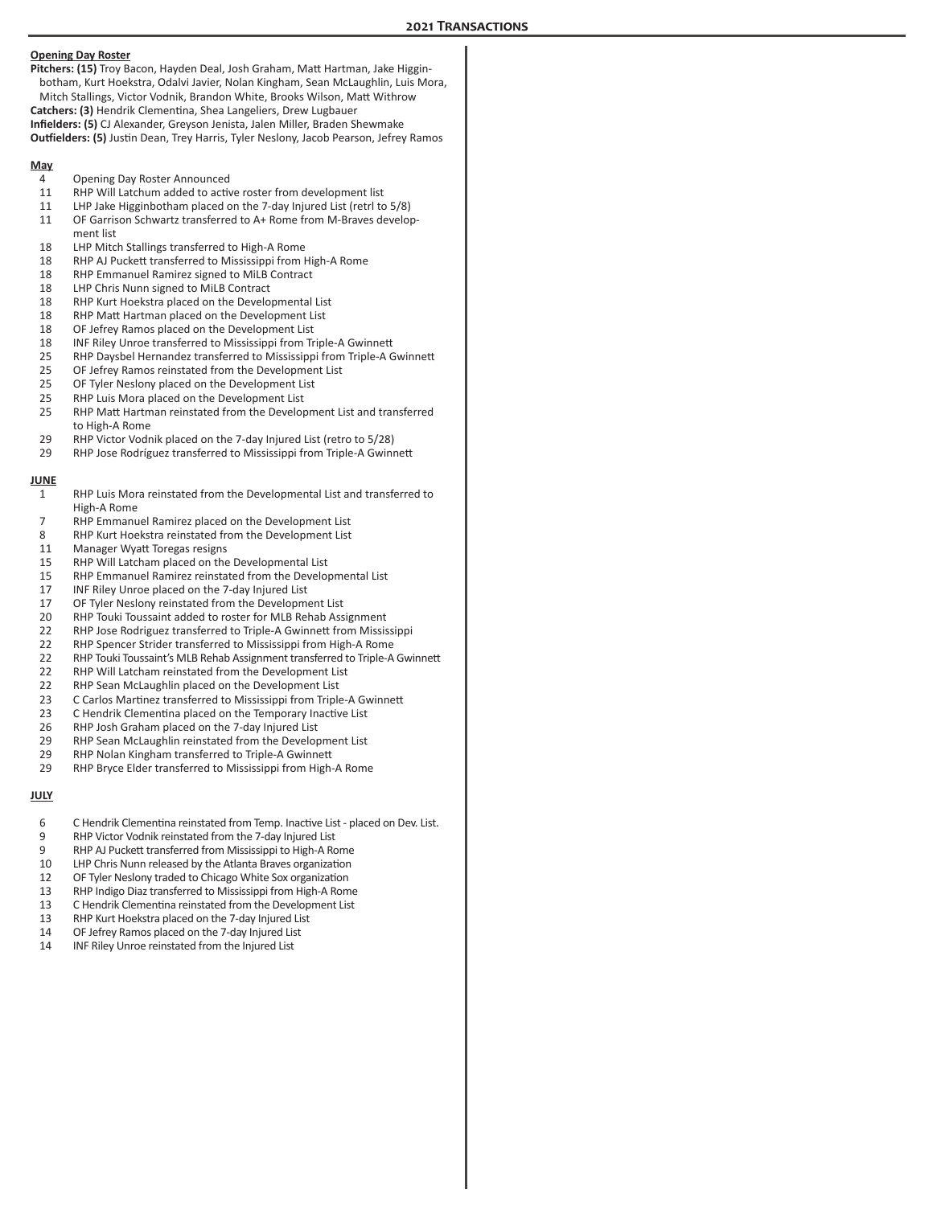|             | <b>Opening Day Roster</b><br>Pitchers: (15) Troy Bacon, Hayden Deal, Josh Graham, Matt Hartman, Jake Higgin-<br>botham, Kurt Hoekstra, Odalvi Javier, Nolan Kingham, Sean McLaughlin, Luis Mora,<br>Mitch Stallings, Victor Vodnik, Brandon White, Brooks Wilson, Matt Withrow<br>Catchers: (3) Hendrik Clementina, Shea Langeliers, Drew Lugbauer<br>Infielders: (5) CJ Alexander, Greyson Jenista, Jalen Miller, Braden Shewmake<br><b>Outfielders: (5)</b> Justin Dean, Trey Harris, Tyler Neslony, Jacob Pearson, Jefrey Ramos |  |
|-------------|------------------------------------------------------------------------------------------------------------------------------------------------------------------------------------------------------------------------------------------------------------------------------------------------------------------------------------------------------------------------------------------------------------------------------------------------------------------------------------------------------------------------------------|--|
| <u>May</u>  |                                                                                                                                                                                                                                                                                                                                                                                                                                                                                                                                    |  |
| 4           | Opening Day Roster Announced<br>RHP Will Latchum added to active roster from development list                                                                                                                                                                                                                                                                                                                                                                                                                                      |  |
| 11<br>11    | LHP Jake Higginbotham placed on the 7-day Injured List (retrl to 5/8)                                                                                                                                                                                                                                                                                                                                                                                                                                                              |  |
| 11          | OF Garrison Schwartz transferred to A+ Rome from M-Braves develop-<br>ment list                                                                                                                                                                                                                                                                                                                                                                                                                                                    |  |
| 18          | LHP Mitch Stallings transferred to High-A Rome                                                                                                                                                                                                                                                                                                                                                                                                                                                                                     |  |
| 18          | RHP AJ Puckett transferred to Mississippi from High-A Rome                                                                                                                                                                                                                                                                                                                                                                                                                                                                         |  |
| 18          | RHP Emmanuel Ramirez signed to MiLB Contract                                                                                                                                                                                                                                                                                                                                                                                                                                                                                       |  |
| 18<br>18    | LHP Chris Nunn signed to MiLB Contract<br>RHP Kurt Hoekstra placed on the Developmental List                                                                                                                                                                                                                                                                                                                                                                                                                                       |  |
| 18          | RHP Matt Hartman placed on the Development List                                                                                                                                                                                                                                                                                                                                                                                                                                                                                    |  |
| 18          | OF Jefrey Ramos placed on the Development List                                                                                                                                                                                                                                                                                                                                                                                                                                                                                     |  |
| 18          | INF Riley Unroe transferred to Mississippi from Triple-A Gwinnett                                                                                                                                                                                                                                                                                                                                                                                                                                                                  |  |
| 25          | RHP Daysbel Hernandez transferred to Mississippi from Triple-A Gwinnett                                                                                                                                                                                                                                                                                                                                                                                                                                                            |  |
| 25          | OF Jefrey Ramos reinstated from the Development List<br>OF Tyler Neslony placed on the Development List                                                                                                                                                                                                                                                                                                                                                                                                                            |  |
| 25<br>25    | RHP Luis Mora placed on the Development List                                                                                                                                                                                                                                                                                                                                                                                                                                                                                       |  |
| 25          | RHP Matt Hartman reinstated from the Development List and transferred                                                                                                                                                                                                                                                                                                                                                                                                                                                              |  |
|             | to High-A Rome                                                                                                                                                                                                                                                                                                                                                                                                                                                                                                                     |  |
| 29<br>29    | RHP Victor Vodnik placed on the 7-day Injured List (retro to 5/28)<br>RHP Jose Rodríguez transferred to Mississippi from Triple-A Gwinnett                                                                                                                                                                                                                                                                                                                                                                                         |  |
| <b>JUNE</b> |                                                                                                                                                                                                                                                                                                                                                                                                                                                                                                                                    |  |
| 1           | RHP Luis Mora reinstated from the Developmental List and transferred to                                                                                                                                                                                                                                                                                                                                                                                                                                                            |  |
|             | High-A Rome                                                                                                                                                                                                                                                                                                                                                                                                                                                                                                                        |  |
| 7           | RHP Emmanuel Ramirez placed on the Development List                                                                                                                                                                                                                                                                                                                                                                                                                                                                                |  |
| 8           | RHP Kurt Hoekstra reinstated from the Development List                                                                                                                                                                                                                                                                                                                                                                                                                                                                             |  |
| 11          | Manager Wyatt Toregas resigns<br>RHP Will Latcham placed on the Developmental List                                                                                                                                                                                                                                                                                                                                                                                                                                                 |  |
| 15<br>15    | RHP Emmanuel Ramirez reinstated from the Developmental List                                                                                                                                                                                                                                                                                                                                                                                                                                                                        |  |
| 17          | INF Riley Unroe placed on the 7-day Injured List                                                                                                                                                                                                                                                                                                                                                                                                                                                                                   |  |
| 17          | OF Tyler Neslony reinstated from the Development List                                                                                                                                                                                                                                                                                                                                                                                                                                                                              |  |
| 20          | RHP Touki Toussaint added to roster for MLB Rehab Assignment                                                                                                                                                                                                                                                                                                                                                                                                                                                                       |  |
| 22          | RHP Jose Rodriguez transferred to Triple-A Gwinnett from Mississippi                                                                                                                                                                                                                                                                                                                                                                                                                                                               |  |
| 22          | RHP Spencer Strider transferred to Mississippi from High-A Rome                                                                                                                                                                                                                                                                                                                                                                                                                                                                    |  |
| 22<br>22    | RHP Touki Toussaint's MLB Rehab Assignment transferred to Triple-A Gwinnett<br>RHP Will Latcham reinstated from the Development List                                                                                                                                                                                                                                                                                                                                                                                               |  |
| 22          | RHP Sean McLaughlin placed on the Development List                                                                                                                                                                                                                                                                                                                                                                                                                                                                                 |  |
| 23          | C Carlos Martinez transferred to Mississippi from Triple-A Gwinnett                                                                                                                                                                                                                                                                                                                                                                                                                                                                |  |
| 23          | C Hendrik Clementina placed on the Temporary Inactive List                                                                                                                                                                                                                                                                                                                                                                                                                                                                         |  |
| 26          | RHP Josh Graham placed on the 7-day Injured List                                                                                                                                                                                                                                                                                                                                                                                                                                                                                   |  |
| 29          | RHP Sean McLaughlin reinstated from the Development List                                                                                                                                                                                                                                                                                                                                                                                                                                                                           |  |
| 29<br>29    | RHP Nolan Kingham transferred to Triple-A Gwinnett<br>RHP Bryce Elder transferred to Mississippi from High-A Rome                                                                                                                                                                                                                                                                                                                                                                                                                  |  |
| <b>JULY</b> |                                                                                                                                                                                                                                                                                                                                                                                                                                                                                                                                    |  |
|             |                                                                                                                                                                                                                                                                                                                                                                                                                                                                                                                                    |  |
| 6           | C Hendrik Clementina reinstated from Temp. Inactive List - placed on Dev. List.                                                                                                                                                                                                                                                                                                                                                                                                                                                    |  |
| 9<br>9      | RHP Victor Vodnik reinstated from the 7-day Injured List<br>RHP AJ Puckett transferred from Mississippi to High-A Rome                                                                                                                                                                                                                                                                                                                                                                                                             |  |
| 10          | LHP Chris Nunn released by the Atlanta Braves organization                                                                                                                                                                                                                                                                                                                                                                                                                                                                         |  |
| 12          | OF Tyler Neslony traded to Chicago White Sox organization                                                                                                                                                                                                                                                                                                                                                                                                                                                                          |  |
| 13          | RHP Indigo Diaz transferred to Mississippi from High-A Rome                                                                                                                                                                                                                                                                                                                                                                                                                                                                        |  |
| 13          | C Hendrik Clementina reinstated from the Development List                                                                                                                                                                                                                                                                                                                                                                                                                                                                          |  |
| 13          | RHP Kurt Hoekstra placed on the 7-day Injured List                                                                                                                                                                                                                                                                                                                                                                                                                                                                                 |  |
| 14          | OF Jefrey Ramos placed on the 7-day Injured List<br>INF Riley Unroe reinstated from the Injured List                                                                                                                                                                                                                                                                                                                                                                                                                               |  |
| 14          |                                                                                                                                                                                                                                                                                                                                                                                                                                                                                                                                    |  |
|             |                                                                                                                                                                                                                                                                                                                                                                                                                                                                                                                                    |  |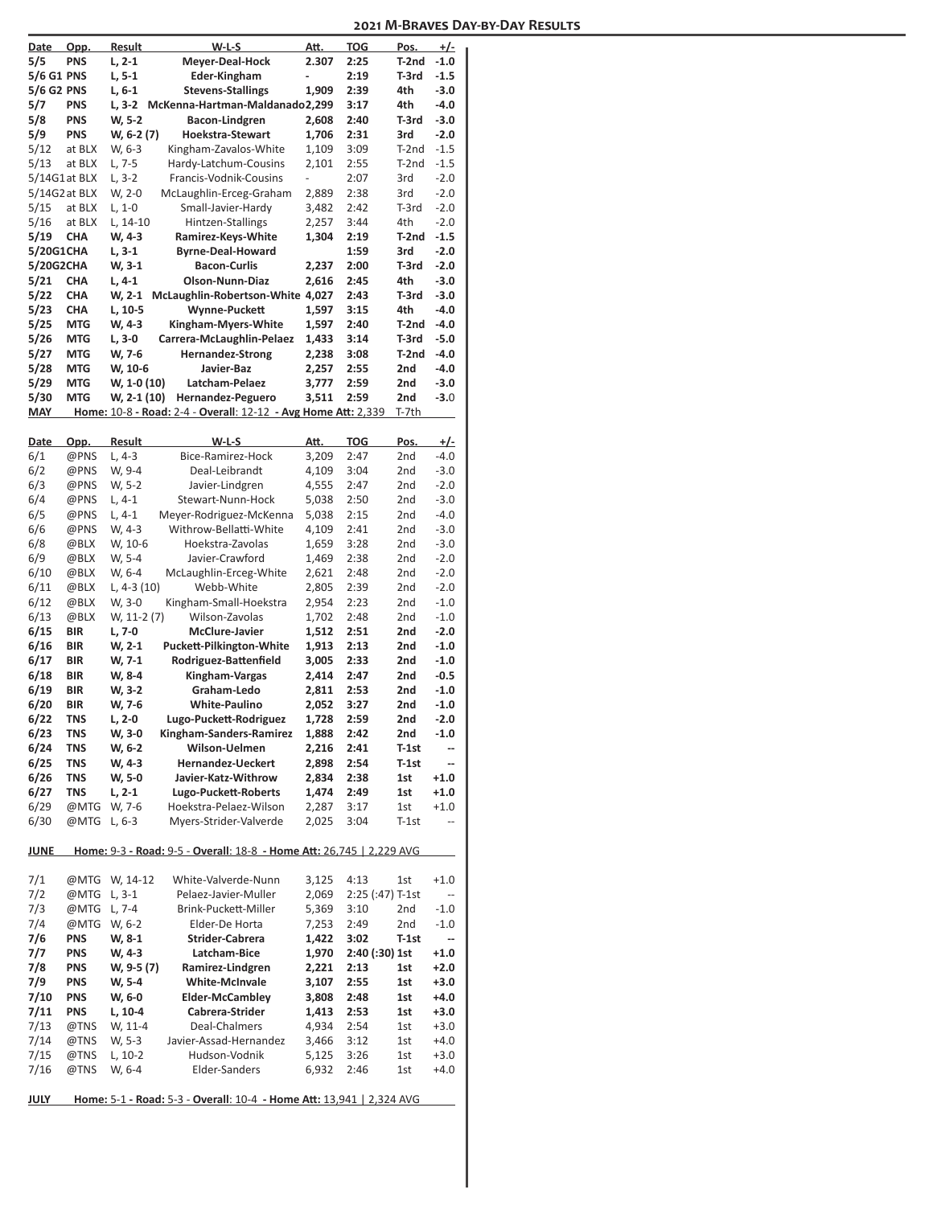| Date            | <u>Opp.</u>  | Result             | W-L-S                                                                | Att.                     | <b>TOG</b>         | Pos.         | +/-                      |
|-----------------|--------------|--------------------|----------------------------------------------------------------------|--------------------------|--------------------|--------------|--------------------------|
| 5/5             | <b>PNS</b>   | $L, 2-1$           | Meyer-Deal-Hock                                                      | 2.307                    | 2:25               | T-2nd        | $-1.0$                   |
| 5/6 G1 PNS      |              | L, 5-1             | Eder-Kingham                                                         |                          | 2:19               | T-3rd        | $-1.5$                   |
| 5/6 G2 PNS      |              | $L.6-1$            | <b>Stevens-Stallings</b>                                             | 1,909                    | 2:39               | 4th          | $-3.0$                   |
| 5/7             | <b>PNS</b>   |                    | L, 3-2 McKenna-Hartman-Maldanado2,299                                |                          | 3:17               | 4th          | $-4.0$                   |
| 5/8             | <b>PNS</b>   | W, 5-2             | Bacon-Lindgren                                                       | 2,608                    | 2:40               | T-3rd        | $-3.0$                   |
| 5/9             | <b>PNS</b>   | W, 6-2 (7)         | <b>Hoekstra-Stewart</b>                                              | 1,706                    | 2:31               | 3rd          | $-2.0$                   |
| 5/12            | at BLX       | W, 6-3             | Kingham-Zavalos-White                                                | 1,109                    | 3:09               | T-2nd        | $-1.5$                   |
| 5/13            | at BLX       | L, 7-5             | Hardy-Latchum-Cousins                                                | 2,101                    | 2:55               | T-2nd        | $-1.5$                   |
| $5/14G1$ at BLX |              | $L, 3-2$           | Francis-Vodnik-Cousins                                               | $\overline{\phantom{0}}$ | 2:07               | 3rd          | $-2.0$                   |
| 5/14G2 at BLX   |              | W, 2-0             | McLaughlin-Erceg-Graham                                              | 2,889                    | 2:38               | 3rd          | $-2.0$                   |
| 5/15            | at BLX       | $L, 1-0$           | Small-Javier-Hardy                                                   | 3,482                    | 2:42               | T-3rd        | $-2.0$                   |
| 5/16<br>5/19    | at BLX       | L, 14-10           | Hintzen-Stallings                                                    | 2,257                    | 3:44               | 4th          | $-2.0$                   |
| 5/20G1CHA       | <b>CHA</b>   | W, 4-3<br>$L, 3-1$ | Ramirez-Keys-White<br><b>Byrne-Deal-Howard</b>                       | 1,304                    | 2:19<br>1:59       | T-2nd<br>3rd | $-1.5$<br>$-2.0$         |
| 5/20G2CHA       |              | W, 3-1             | <b>Bacon-Curlis</b>                                                  | 2,237                    | 2:00               | T-3rd        | $-2.0$                   |
| 5/21            | <b>CHA</b>   | L, 4-1             | Olson-Nunn-Diaz                                                      | 2,616                    | 2:45               | 4th          | $-3.0$                   |
| 5/22            | <b>CHA</b>   | W, 2-1             | McLaughlin-Robertson-White 4,027                                     |                          | 2:43               | T-3rd        | $-3.0$                   |
| 5/23            | <b>CHA</b>   | L, 10-5            | Wynne-Puckett                                                        | 1,597                    | 3:15               | 4th          | $-4.0$                   |
| 5/25            | <b>MTG</b>   | W, 4-3             | Kingham-Myers-White                                                  | 1,597                    | 2:40               | T-2nd        | $-4.0$                   |
| 5/26            | <b>MTG</b>   | $L, 3-0$           | Carrera-McLaughlin-Pelaez                                            | 1,433                    | 3:14               | T-3rd        | $-5.0$                   |
| 5/27            | <b>MTG</b>   | W, 7-6             | <b>Hernandez-Strong</b>                                              | 2,238                    | 3:08               | T-2nd        | $-4.0$                   |
| 5/28            | <b>MTG</b>   | W, 10-6            | Javier-Baz                                                           | 2,257                    | 2:55               | 2nd          | $-4.0$                   |
| 5/29            | <b>MTG</b>   | W, 1-0 (10)        | Latcham-Pelaez                                                       | 3,777                    | 2:59               | 2nd          | $-3.0$                   |
| 5/30            | <b>MTG</b>   | W, 2-1 (10)        | Hernandez-Peguero                                                    | 3,511                    | 2:59               | 2nd          | $-3.0$                   |
| <b>MAY</b>      |              |                    | Home: 10-8 - Road: 2-4 - Overall: 12-12 - Avg Home Att: 2,339        |                          |                    | T-7th        |                          |
|                 |              |                    |                                                                      |                          |                    |              |                          |
| Date            | Opp.         | <b>Result</b>      | $W-L-S$                                                              | Att.                     | <b>TOG</b>         | Pos.         | <u>+/-</u>               |
| 6/1             | @PNS         | $L, 4-3$           | Bice-Ramirez-Hock                                                    | 3,209                    | 2:47               | 2nd          | $-4.0$                   |
| 6/2             | @PNS         | W, 9-4             | Deal-Leibrandt                                                       | 4,109                    | 3:04               | 2nd          | $-3.0$                   |
| 6/3             | @PNS         | W, 5-2             | Javier-Lindgren                                                      | 4,555                    | 2:47               | 2nd          | $-2.0$                   |
| 6/4             | @PNS         | $L, 4-1$           | Stewart-Nunn-Hock                                                    | 5,038                    | 2:50               | 2nd          | $-3.0$                   |
| 6/5             | @PNS         | $L, 4-1$           | Meyer-Rodriguez-McKenna                                              | 5,038                    | 2:15               | 2nd          | $-4.0$                   |
| 6/6             | @PNS         | W, 4-3             | Withrow-Bellatti-White                                               | 4,109                    | 2:41               | 2nd          | $-3.0$                   |
| 6/8<br>6/9      | @BLX         | W, 10-6            | Hoekstra-Zavolas<br>Javier-Crawford                                  | 1,659                    | 3:28               | 2nd          | $-3.0$                   |
| 6/10            | @BLX<br>@BLX | W, 5-4<br>W, 6-4   | McLaughlin-Erceg-White                                               | 1,469<br>2,621           | 2:38<br>2:48       | 2nd<br>2nd   | $-2.0$<br>$-2.0$         |
| 6/11            | @BLX         | L, $4-3(10)$       | Webb-White                                                           | 2,805                    | 2:39               | 2nd          | $-2.0$                   |
| 6/12            | @BLX         | W, 3-0             | Kingham-Small-Hoekstra                                               | 2,954                    | 2:23               | 2nd          | $-1.0$                   |
| 6/13            | @BLX         | W, 11-2 (7)        | Wilson-Zavolas                                                       | 1,702                    | 2:48               | 2nd          | $-1.0$                   |
| 6/15            | <b>BIR</b>   | L, 7-0             | <b>McClure-Javier</b>                                                | 1,512                    | 2:51               | 2nd          | $-2.0$                   |
| 6/16            | <b>BIR</b>   | W, 2-1             | Puckett-Pilkington-White                                             | 1,913                    | 2:13               | 2nd          | $-1.0$                   |
| 6/17            | <b>BIR</b>   | W, 7-1             | Rodriguez-Battenfield                                                | 3,005                    | 2:33               | 2nd          | $-1.0$                   |
| 6/18            | <b>BIR</b>   | W, 8-4             | Kingham-Vargas                                                       | 2,414                    | 2:47               | 2nd          | $-0.5$                   |
| 6/19            | <b>BIR</b>   | W, 3-2             | Graham-Ledo                                                          | 2,811                    | 2:53               | 2nd          | $-1.0$                   |
| 6/20            | BIR          | W, 7-6             | <b>White-Paulino</b>                                                 | 2,052                    | 3:27               | 2nd          | $-1.0$                   |
| 6/22            | <b>TNS</b>   | $L, 2-0$           | Lugo-Puckett-Rodriguez                                               | 1,728                    | 2:59               | 2nd          | $-2.0$                   |
| 6/23            | TNS          | W, 3-0             | Kingham-Sanders-Ramirez                                              | 1,888                    | 2:42               | 2nd          | $-1.0$                   |
| 6/24            | <b>TNS</b>   | W, 6-2             | Wilson-Uelmen                                                        | 2,216                    | 2:41               | T-1st        | $\qquad \qquad \cdots$   |
| 6/25            | TNS          | W, 4-3             | <b>Hernandez-Ueckert</b>                                             | 2,898                    | 2:54               | T-1st        | --                       |
| 6/26            | TNS          | W, 5-0             | Javier-Katz-Withrow                                                  | 2,834                    | 2:38               | 1st          | $+1.0$                   |
| 6/27            | <b>TNS</b>   | $L, 2-1$           | Lugo-Puckett-Roberts                                                 | 1,474                    | 2:49               | 1st          | $+1.0$                   |
| 6/29            | @MTG         | W, 7-6             | Hoekstra-Pelaez-Wilson                                               | 2,287                    | 3:17               | 1st          | $+1.0$                   |
| 6/30            | @MTG         | L, 6-3             | Myers-Strider-Valverde                                               | 2,025                    | 3:04               | T-1st        | --                       |
|                 |              |                    |                                                                      |                          |                    |              |                          |
| <b>JUNE</b>     |              |                    | Home: 9-3 - Road: 9-5 - Overall: 18-8 - Home Att: 26,745   2,229 AVG |                          |                    |              |                          |
| 7/1             |              | @MTG W, 14-12      | White-Valverde-Nunn                                                  | 3,125                    | 4:13               | 1st          | $+1.0$                   |
| 7/2             | @MTG         | $L, 3-1$           | Pelaez-Javier-Muller                                                 | 2,069                    | $2:25$ (:47) T-1st |              | $\overline{\phantom{a}}$ |
| 7/3             | @MTG         | L, 7-4             | Brink-Puckett-Miller                                                 | 5,369                    | 3:10               | 2nd          | $-1.0$                   |
| 7/4             | @MTG         | W, 6-2             | Elder-De Horta                                                       | 7,253                    | 2:49               | 2nd          | $-1.0$                   |
| 7/6             | <b>PNS</b>   | W, 8-1             | <b>Strider-Cabrera</b>                                               | 1,422                    | 3:02               | T-1st        | --                       |
| 7/7             | <b>PNS</b>   | W, 4-3             | Latcham-Bice                                                         | 1,970                    | 2:40 (:30) 1st     |              | $+1.0$                   |
| 7/8             | <b>PNS</b>   | W, 9-5 (7)         | Ramirez-Lindgren                                                     | 2,221                    | 2:13               | 1st          | $+2.0$                   |
| 7/9             | PNS          | W, 5-4             | White-McInvale                                                       | 3,107                    | 2:55               | 1st          | $+3.0$                   |
| 7/10            | <b>PNS</b>   | W, 6-0             | <b>Elder-McCambley</b>                                               | 3,808                    | 2:48               | 1st          | $+4.0$                   |
| 7/11            | <b>PNS</b>   | L, 10-4            | Cabrera-Strider                                                      | 1,413                    | 2:53               | 1st          | $+3.0$                   |
| 7/13            | @TNS         | W, 11-4            | Deal-Chalmers                                                        | 4,934                    | 2:54               | 1st          | $+3.0$                   |
| 7/14            | @TNS         | W, 5-3             | Javier-Assad-Hernandez                                               | 3,466                    | 3:12               | 1st          | $+4.0$                   |
| 7/15            | @TNS         | $L, 10-2$          | Hudson-Vodnik                                                        | 5,125                    | 3:26               | 1st          | $+3.0$                   |
| 7/16            | @TNS         | W, 6-4             | Elder-Sanders                                                        | 6,932                    | 2:46               | 1st          | $+4.0$                   |
|                 |              |                    |                                                                      |                          |                    |              |                          |
| <b>JULY</b>     |              |                    | Home: 5-1 - Road: 5-3 - Overall: 10-4 - Home Att: 13,941   2,324 AVG |                          |                    |              |                          |